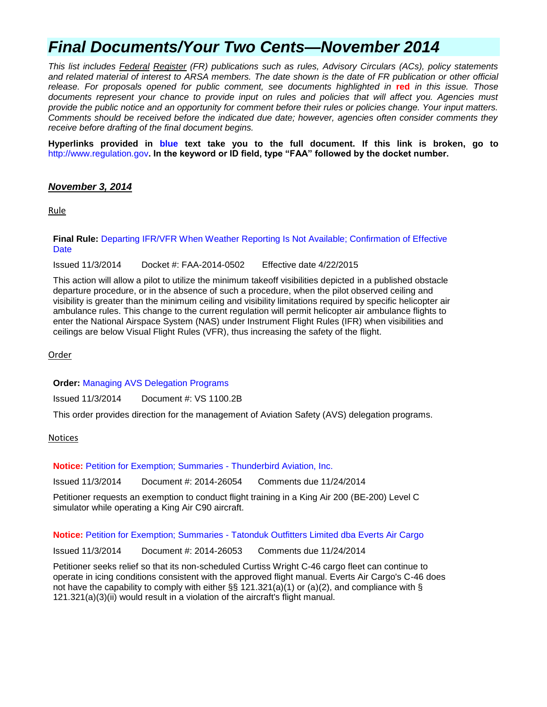# *Final Documents/Your Two Cents—November 2014*

*This list includes Federal Register (FR) publications such as rules, Advisory Circulars (ACs), policy statements and related material of interest to ARSA members. The date shown is the date of FR publication or other official release. For proposals opened for public comment, see documents highlighted in* **red** *in this issue. Those documents represent your chance to provide input on rules and policies that will affect you. Agencies must provide the public notice and an opportunity for comment before their rules or policies change. Your input matters. Comments should be received before the indicated due date; however, agencies often consider comments they receive before drafting of the final document begins.*

**Hyperlinks provided in blue text take you to the full document. If this link is broken, go to**  [http://www.regulation.gov](http://www.regulation.gov/)**. In the keyword or ID field, type "FAA" followed by the docket number.**

### *November 3, 2014*

Rule

### **Final Rule:** [Departing IFR/VFR When Weather Reporting Is Not Available; Confirmation of Effective](https://www.federalregister.gov/articles/2014/11/03/2014-26052/departing-ifrvfr-when-weather-reporting-is-not-available-confirmation-of-effective-date)  **[Date](https://www.federalregister.gov/articles/2014/11/03/2014-26052/departing-ifrvfr-when-weather-reporting-is-not-available-confirmation-of-effective-date)**

Issued 11/3/2014 Docket #: FAA-2014-0502 Effective date 4/22/2015

This action will allow a pilot to utilize the minimum takeoff visibilities depicted in a published obstacle departure procedure, or in the absence of such a procedure, when the pilot observed ceiling and visibility is greater than the minimum ceiling and visibility limitations required by specific helicopter air ambulance rules. This change to the current regulation will permit helicopter air ambulance flights to enter the National Airspace System (NAS) under Instrument Flight Rules (IFR) when visibilities and ceilings are below Visual Flight Rules (VFR), thus increasing the safety of the flight.

Order

**Order:** [Managing AVS Delegation Programs](http://www.faa.gov/regulations_policies/orders_notices/index.cfm/go/document.information/documentID/1026106)

Issued 11/3/2014 Document #: VS 1100.2B

This order provides direction for the management of Aviation Safety (AVS) delegation programs.

Notices

**Notice:** [Petition for Exemption; Summaries -](https://www.federalregister.gov/articles/2014/11/03/2014-26054/petition-for-exemption-summary-of-petition-received) Thunderbird Aviation, Inc.

Issued 11/3/2014 Document #: 2014-26054 Comments due 11/24/2014

Petitioner requests an exemption to conduct flight training in a King Air 200 (BE-200) Level C simulator while operating a King Air C90 aircraft.

**Notice:** Petition for Exemption; Summaries - Tatonduk [Outfitters Limited dba Everts Air Cargo](https://www.federalregister.gov/articles/2014/11/03/2014-26053/petition-for-exemption-summary-of-petition-received)

Issued 11/3/2014 Document #: 2014-26053 Comments due 11/24/2014

Petitioner seeks relief so that its non-scheduled Curtiss Wright C-46 cargo fleet can continue to operate in icing conditions consistent with the approved flight manual. Everts Air Cargo's C-46 does not have the capability to comply with either  $\S$ § 121.321(a)(1) or (a)(2), and compliance with § 121.321(a)(3)(ii) would result in a violation of the aircraft's flight manual.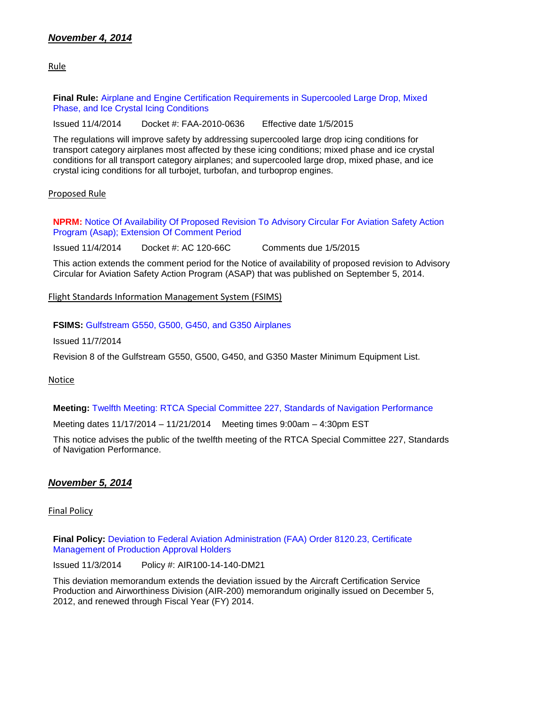Rule

**Final Rule:** [Airplane and Engine Certification Requirements in Supercooled Large Drop, Mixed](https://www.federalregister.gov/articles/2014/11/04/2014-25789/airplane-and-engine-certification-requirements-in-supercooled-large-drop-mixed-phase-and-ice-crystal)  [Phase, and Ice Crystal Icing Conditions](https://www.federalregister.gov/articles/2014/11/04/2014-25789/airplane-and-engine-certification-requirements-in-supercooled-large-drop-mixed-phase-and-ice-crystal)

Issued 11/4/2014 Docket #: FAA-2010-0636 Effective date 1/5/2015

The regulations will improve safety by addressing supercooled large drop icing conditions for transport category airplanes most affected by these icing conditions; mixed phase and ice crystal conditions for all transport category airplanes; and supercooled large drop, mixed phase, and ice crystal icing conditions for all turbojet, turbofan, and turboprop engines.

### Proposed Rule

**NPRM:** [Notice Of Availability Of Proposed Revision To Advisory Circular For Aviation Safety Action](https://www.federalregister.gov/articles/2014/11/04/2014-26212/advisory-circular-for-aviation-safety-action-program-asap)  [Program \(Asap\); Extension Of Comment Period](https://www.federalregister.gov/articles/2014/11/04/2014-26212/advisory-circular-for-aviation-safety-action-program-asap)

Issued 11/4/2014 Docket #: AC 120-66C Comments due 1/5/2015

This action extends the comment period for the Notice of availability of proposed revision to Advisory Circular for Aviation Safety Action Program (ASAP) that was published on September 5, 2014.

### Flight Standards Information Management System (FSIMS)

**FSIMS:** [Gulfstream G550, G500, G450,](http://fsims.faa.gov/PICDetail.aspx?docId=M%20G-V%20R8) and G350 Airplanes

Issued 11/7/2014

Revision 8 of the Gulfstream G550, G500, G450, and G350 Master Minimum Equipment List.

### **Notice**

**Meeting:** [Twelfth Meeting: RTCA Special Committee 227, Standards of Navigation Performance](https://www.federalregister.gov/articles/2014/11/04/2014-26269/twelfth-meeting-rtca-special-committee-227-standards-of-navigation-performance)

Meeting dates 11/17/2014 – 11/21/2014 Meeting times 9:00am – 4:30pm EST

This notice advises the public of the twelfth meeting of the RTCA Special Committee 227, Standards of Navigation Performance.

### *November 5, 2014*

### Final Policy

**Final Policy:** [Deviation to Federal Aviation Administration \(FAA\) Order 8120.23, Certificate](http://rgl.faa.gov/Regulatory_and_Guidance_Library/rgPolicy.nsf/0/F9304194BFD3C33A86257D860070D1BB?OpenDocument)  [Management of Production Approval Holders](http://rgl.faa.gov/Regulatory_and_Guidance_Library/rgPolicy.nsf/0/F9304194BFD3C33A86257D860070D1BB?OpenDocument)

Issued 11/3/2014 Policy #: AIR100-14-140-DM21

This deviation memorandum extends the deviation issued by the Aircraft Certification Service Production and Airworthiness Division (AIR-200) memorandum originally issued on December 5, 2012, and renewed through Fiscal Year (FY) 2014.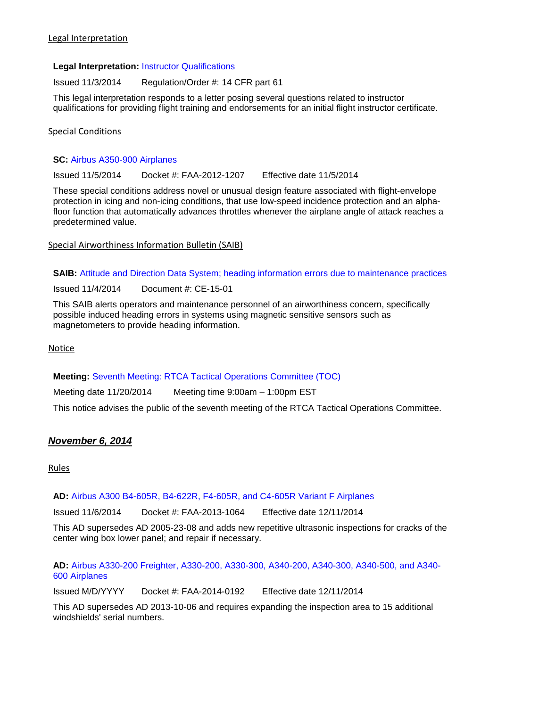### **Legal Interpretation:** [Instructor Qualifications](http://www.faa.gov/about/office_org/headquarters_offices/agc/pol_adjudication/agc200/interpretations/data/interps/2014/Underwood%20-%20(2014)%20Legal%20Interpretation.pdf)

Issued 11/3/2014 Regulation/Order #: 14 CFR part 61

This legal interpretation responds to a letter posing several questions related to instructor qualifications for providing flight training and endorsements for an initial flight instructor certificate.

Special Conditions

### **SC:** [Airbus A350-900 Airplanes](https://www.federalregister.gov/articles/2014/11/05/2014-26289/special-conditions-airbus-model-a350-900-series-airplane-flight-envelope-protection-icing-and)

Issued 11/5/2014 Docket #: FAA-2012-1207 Effective date 11/5/2014

These special conditions address novel or unusual design feature associated with flight-envelope protection in icing and non-icing conditions, that use low-speed incidence protection and an alphafloor function that automatically advances throttles whenever the airplane angle of attack reaches a predetermined value.

Special Airworthiness Information Bulletin (SAIB)

**SAIB:** [Attitude and Direction Data System; heading information errors due to maintenance practices](http://rgl.faa.gov/Regulatory_and_Guidance_Library/rgSAIB.nsf/(LookupSAIBs)/CE-15-01?OpenDocument)

Issued 11/4/2014 Document #: CE-15-01

This SAIB alerts operators and maintenance personnel of an airworthiness concern, specifically possible induced heading errors in systems using magnetic sensitive sensors such as magnetometers to provide heading information.

Notice

### **Meeting:** [Seventh Meeting: RTCA Tactical Operations Committee \(TOC\)](https://www.federalregister.gov/articles/2014/11/05/2014-26303/seventh-meeting-rtca-tactical-operations-committee-toc)

Meeting date 11/20/2014 Meeting time 9:00am – 1:00pm EST

This notice advises the public of the seventh meeting of the RTCA Tactical Operations Committee.

# *November 6, 2014*

Rules

### **AD:** [Airbus A300 B4-605R, B4-622R, F4-605R, and C4-605R Variant F Airplanes](https://www.federalregister.gov/articles/2014/11/06/2014-26356/airworthiness-directives-airbus-airplanes)

Issued 11/6/2014 Docket #: FAA-2013-1064 Effective date 12/11/2014

This AD supersedes AD 2005-23-08 and adds new repetitive ultrasonic inspections for cracks of the center wing box lower panel; and repair if necessary.

**AD:** [Airbus A330-200 Freighter, A330-200, A330-300, A340-200, A340-300, A340-500, and A340-](https://www.federalregister.gov/articles/2014/11/06/2014-24964/airworthiness-directives-airbus-airplanes) [600 Airplanes](https://www.federalregister.gov/articles/2014/11/06/2014-24964/airworthiness-directives-airbus-airplanes)

Issued M/D/YYYY Docket #: FAA-2014-0192 Effective date 12/11/2014

This AD supersedes AD 2013-10-06 and requires expanding the inspection area to 15 additional windshields' serial numbers.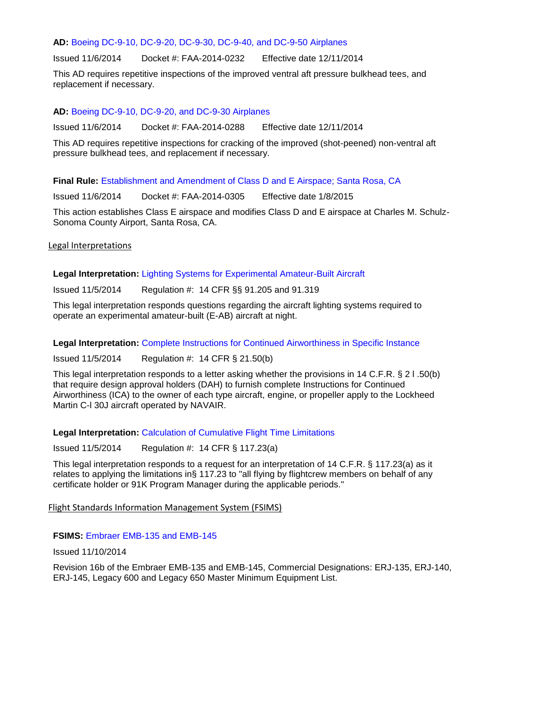#### **AD:** [Boeing DC-9-10, DC-9-20, DC-9-30, DC-9-40, and DC-9-50 Airplanes](https://www.federalregister.gov/articles/2014/11/06/2014-26331/airworthiness-directives-the-boeing-company-airplanes)

Issued 11/6/2014 Docket #: FAA-2014-0232 Effective date 12/11/2014

This AD requires repetitive inspections of the improved ventral aft pressure bulkhead tees, and replacement if necessary.

#### **AD:** [Boeing DC-9-10, DC-9-20, and DC-9-30 Airplanes](https://www.federalregister.gov/articles/2014/11/06/2014-26330/airworthiness-directives-the-boeing-company-airplanes)

Issued 11/6/2014 Docket #: FAA-2014-0288 Effective date 12/11/2014

This AD requires repetitive inspections for cracking of the improved (shot-peened) non-ventral aft pressure bulkhead tees, and replacement if necessary.

**Final Rule:** [Establishment and Amendment of Class D and E Airspace; Santa Rosa, CA](https://www.federalregister.gov/articles/2014/11/06/2014-26283/establishment-and-amendment-of-class-d-and-e-airspace-santa-rosa-ca)

Issued 11/6/2014 Docket #: FAA-2014-0305 Effective date 1/8/2015

This action establishes Class E airspace and modifies Class D and E airspace at Charles M. Schulz-Sonoma County Airport, Santa Rosa, CA.

#### Legal Interpretations

**Legal Interpretation:** [Lighting Systems for Experimental Amateur-Built Aircraft](http://www.faa.gov/about/office_org/headquarters_offices/agc/pol_adjudication/agc200/interpretations/data/interps/2014/Josephson%20-%20(2014)%20Legal%20Interpretation.pdf)

Issued 11/5/2014 Regulation #: 14 CFR §§ 91.205 and 91.319

This legal interpretation responds questions regarding the aircraft lighting systems required to operate an experimental amateur-built (E-AB) aircraft at night.

#### **Legal Interpretation:** [Complete Instructions for Continued Airworthiness in Specific Instance](http://www.faa.gov/about/office_org/headquarters_offices/agc/pol_adjudication/agc200/interpretations/data/interps/2014/Dawson-PMA-207%20NAVAIR%20-%20(2014)%20Legal%20Interpretation.pdf)

Issued 11/5/2014 Regulation #: 14 CFR § 21.50(b)

This legal interpretation responds to a letter asking whether the provisions in 14 C.F.R. § 2 l .50(b) that require design approval holders (DAH) to furnish complete Instructions for Continued Airworthiness (ICA) to the owner of each type aircraft, engine, or propeller apply to the Lockheed Martin C-l 30J aircraft operated by NAVAIR.

### **Legal Interpretation:** [Calculation of Cumulative Flight Time Limitations](http://www.faa.gov/about/office_org/headquarters_offices/agc/pol_adjudication/agc200/interpretations/data/interps/2014/Wykoff-ALPA%20-%20(2014)%20Legal%20Interpretation.pdf)

Issued 11/5/2014 Regulation #: 14 CFR § 117.23(a)

This legal interpretation responds to a request for an interpretation of 14 C.F.R. § 117.23(a) as it relates to applying the limitations in§ 117.23 to "all flying by flightcrew members on behalf of any certificate holder or 91K Program Manager during the applicable periods."

#### Flight Standards Information Management System (FSIMS)

### **FSIMS:** [Embraer EMB-135 and EMB-145](http://fsims.faa.gov/PICDetail.aspx?docId=M%20EMB-135_145%20R16b)

Issued 11/10/2014

Revision 16b of the Embraer EMB-135 and EMB-145, Commercial Designations: ERJ-135, ERJ-140, ERJ-145, Legacy 600 and Legacy 650 Master Minimum Equipment List.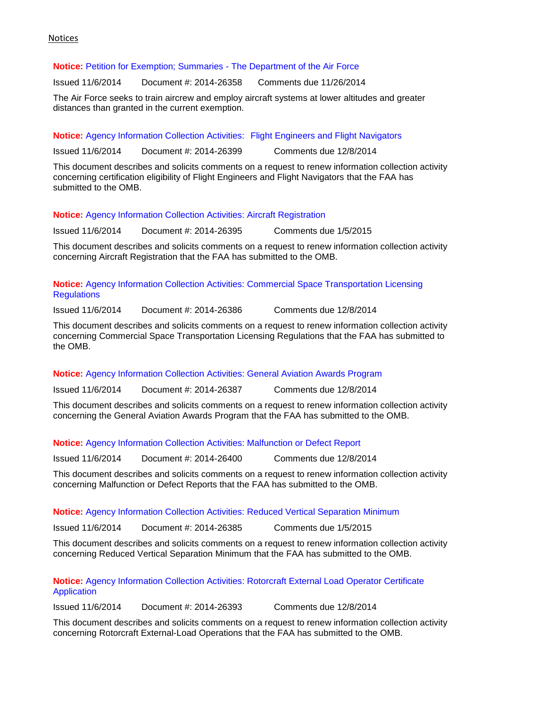#### Notices

### **Notice:** [Petition for Exemption; Summaries -](https://www.federalregister.gov/articles/2014/11/06/2014-26358/petition-for-exemption-summary-of-petition-received) The Department of the Air Force

Issued 11/6/2014 Document #: 2014-26358 Comments due 11/26/2014

The Air Force seeks to train aircrew and employ aircraft systems at lower altitudes and greater distances than granted in the current exemption.

**Notice:** [Agency Information Collection Activities:](https://www.federalregister.gov/articles/2014/11/06/2014-26399/agency-information-collection-activities-requests-for-comments-clearance-of-renewed-approval-of) Flight Engineers and Flight Navigators

Issued 11/6/2014 Document #: 2014-26399 Comments due 12/8/2014

This document describes and solicits comments on a request to renew information collection activity concerning certification eligibility of Flight Engineers and Flight Navigators that the FAA has submitted to the OMB.

**Notice:** [Agency Information Collection Activities:](https://www.federalregister.gov/articles/2014/11/06/2014-26395/agency-information-collection-activities-requests-for-comments-clearance-of-renewed-approval-of) Aircraft Registration

Issued 11/6/2014 Document #: 2014-26395 Comments due 1/5/2015

This document describes and solicits comments on a request to renew information collection activity concerning Aircraft Registration that the FAA has submitted to the OMB.

**Notice:** Agency Information Collection Activities: [Commercial Space Transportation Licensing](https://www.federalregister.gov/articles/2014/11/06/2014-26386/agency-information-collection-activities-requests-for-comments-clearance-of-renewed-approval-of)  **[Regulations](https://www.federalregister.gov/articles/2014/11/06/2014-26386/agency-information-collection-activities-requests-for-comments-clearance-of-renewed-approval-of)** 

Issued 11/6/2014 Document #: 2014-26386 Comments due 12/8/2014

This document describes and solicits comments on a request to renew information collection activity concerning Commercial Space Transportation Licensing Regulations that the FAA has submitted to the OMB.

### **Notice:** [Agency Information Collection Activities:](https://www.federalregister.gov/articles/2014/11/06/2014-26387/agency-information-collection-activities-requests-for-comments-clearance-of-renewed-approval-of) General Aviation Awards Program

Issued 11/6/2014 Document #: 2014-26387 Comments due 12/8/2014

This document describes and solicits comments on a request to renew information collection activity concerning the General Aviation Awards Program that the FAA has submitted to the OMB.

### **Notice:** [Agency Information Collection Activities: Malfunction or Defect Report](https://www.federalregister.gov/articles/2014/11/06/2014-26400/agency-information-collection-activities-requests-for-comments-clearance-of-renewed-approval-of)

Issued 11/6/2014 Document #: 2014-26400 Comments due 12/8/2014

This document describes and solicits comments on a request to renew information collection activity concerning Malfunction or Defect Reports that the FAA has submitted to the OMB.

### **Notice:** [Agency Information Collection Activities:](https://www.federalregister.gov/articles/2014/11/06/2014-26385/agency-information-collection-activities-requests-for-comments-clearance-of-renewed-approval-of) Reduced Vertical Separation Minimum

Issued 11/6/2014 Document #: 2014-26385 Comments due 1/5/2015

This document describes and solicits comments on a request to renew information collection activity concerning Reduced Vertical Separation Minimum that the FAA has submitted to the OMB.

### **Notice:** Agency Information Collection Activities: [Rotorcraft External Load Operator Certificate](https://www.federalregister.gov/articles/2014/11/06/2014-26393/agency-information-collection-activities-requests-for-comments-clearance-of-renewed-approval-of)  **[Application](https://www.federalregister.gov/articles/2014/11/06/2014-26393/agency-information-collection-activities-requests-for-comments-clearance-of-renewed-approval-of)**

Issued 11/6/2014 Document #: 2014-26393 Comments due 12/8/2014

This document describes and solicits comments on a request to renew information collection activity concerning Rotorcraft External-Load Operations that the FAA has submitted to the OMB.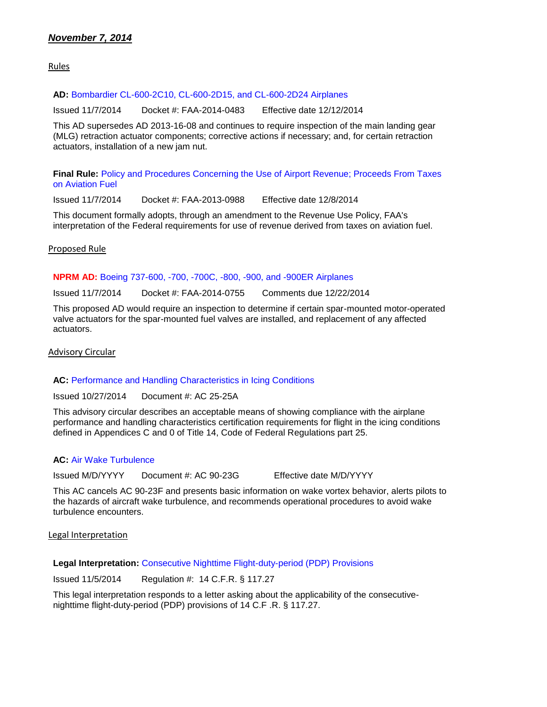# *November 7, 2014*

Rules

#### **AD:** [Bombardier CL-600-2C10, CL-600-2D15, and CL-600-2D24 Airplanes](https://www.federalregister.gov/articles/2014/11/07/2014-26437/airworthiness-directives-bombardier-inc-airplanes)

Issued 11/7/2014 Docket #: FAA-2014-0483 Effective date 12/12/2014

This AD supersedes AD 2013-16-08 and continues to require inspection of the main landing gear (MLG) retraction actuator components; corrective actions if necessary; and, for certain retraction actuators, installation of a new jam nut.

**Final Rule:** [Policy and Procedures Concerning the Use of Airport Revenue; Proceeds From Taxes](https://www.federalregister.gov/articles/2014/11/07/2014-26408/policy-and-procedures-concerning-the-use-of-airport-revenue-proceeds-from-taxes-on-aviation-fuel)  [on Aviation Fuel](https://www.federalregister.gov/articles/2014/11/07/2014-26408/policy-and-procedures-concerning-the-use-of-airport-revenue-proceeds-from-taxes-on-aviation-fuel)

Issued 11/7/2014 Docket #: FAA-2013-0988 Effective date 12/8/2014

This document formally adopts, through an amendment to the Revenue Use Policy, FAA's interpretation of the Federal requirements for use of revenue derived from taxes on aviation fuel.

### Proposed Rule

#### **NPRM AD:** [Boeing 737-600, -700, -700C, -800, -900, and -900ER](https://www.federalregister.gov/articles/2014/11/07/2014-26534/airworthiness-directives-the-boeing-company-airplanes) Airplanes

Issued 11/7/2014 Docket #: FAA-2014-0755 Comments due 12/22/2014

This proposed AD would require an inspection to determine if certain spar-mounted motor-operated valve actuators for the spar-mounted fuel valves are installed, and replacement of any affected actuators.

Advisory Circular

### AC: [Performance and Handling Characteristics in Icing Conditions](http://www.faa.gov/regulations_policies/advisory_circulars/index.cfm/go/document.information/documentID/1026166)

Issued 10/27/2014 Document #: AC 25-25A

This advisory circular describes an acceptable means of showing compliance with the airplane performance and handling characteristics certification requirements for flight in the icing conditions defined in Appendices C and 0 of Title 14, Code of Federal Regulations part 25.

### **AC:** [Air Wake Turbulence](http://www.airweb.faa.gov/Regulatory_and_Guidance_Library/rgAdvisoryCircular.nsf/0/649853C40310A35286257C7C00720481?OpenDocument)

Issued M/D/YYYY Document #: AC 90-23G Effective date M/D/YYYY

This AC cancels AC 90-23F and presents basic information on wake vortex behavior, alerts pilots to the hazards of aircraft wake turbulence, and recommends operational procedures to avoid wake turbulence encounters.

Legal Interpretation

**Legal Interpretation:** [Consecutive Nighttime Flight-duty-period \(PDP\) Provisions](http://www.faa.gov/about/office_org/headquarters_offices/agc/pol_adjudication/agc200/interpretations/data/interps/2014/Edwards-USAPA%20-%20(2014)%20Legal%20Interpretation.pdf)

Issued 11/5/2014 Regulation #: 14 C.F.R. § 117.27

This legal interpretation responds to a letter asking about the applicability of the consecutivenighttime flight-duty-period (PDP) provisions of 14 C.F .R. § 117.27.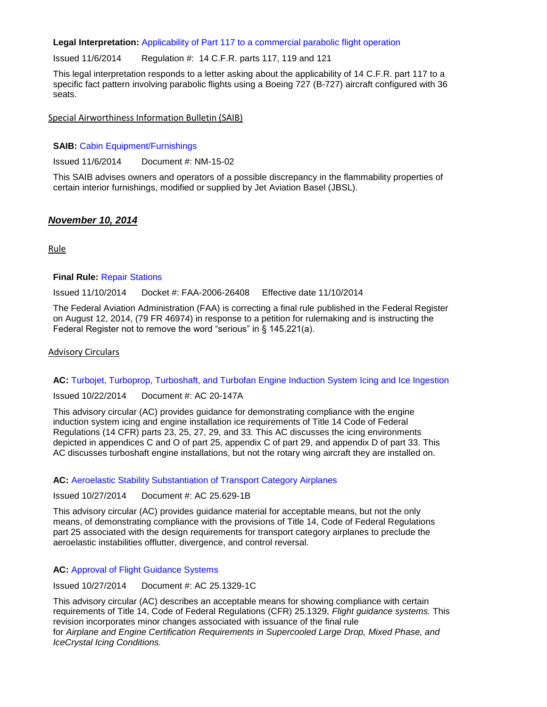#### **Legal Interpretation:** [Applicability of Part 117 to a commercial parabolic flight operation](http://www.faa.gov/about/office_org/headquarters_offices/agc/pol_adjudication/agc200/interpretations/data/interps/2014/Adams-Events%20Air%20Cargo%20-%20(2014)%20Legal%20Interpretation.pdf)

Issued 11/6/2014 Regulation #: 14 C.F.R. parts 117, 119 and 121

This legal interpretation responds to a letter asking about the applicability of 14 C.F.R. part 117 to a specific fact pattern involving parabolic flights using a Boeing 727 (B-727) aircraft configured with 36 seats.

Special Airworthiness Information Bulletin (SAIB)

#### **SAIB:** [Cabin Equipment/Furnishings](http://rgl.faa.gov/Regulatory_and_Guidance_Library/rgSAIB.nsf/(LookupSAIBs)/NM-15-02?OpenDocument)

Issued 11/6/2014 Document #: NM-15-02

This SAIB advises owners and operators of a possible discrepancy in the flammability properties of certain interior furnishings, modified or supplied by Jet Aviation Basel (JBSL).

### *November 10, 2014*

Rule

#### **Final Rule:** [Repair Stations](https://www.federalregister.gov/articles/2014/11/10/2014-26590/repair-stations)

Issued 11/10/2014 Docket #: FAA-2006-26408 Effective date 11/10/2014

The Federal Aviation Administration (FAA) is correcting a final rule published in the Federal Register on August 12, 2014, (79 FR 46974) in response to a petition for rulemaking and is instructing the Federal Register not to remove the word "serious" in § 145.221(a).

### Advisory Circulars

### **AC:** [Turbojet, Turboprop, Turboshaft, and Turbofan Engine Induction System Icing and Ice Ingestion](http://www.faa.gov/regulations_policies/advisory_circulars/index.cfm/go/document.information/documentID/1026176)

Issued 10/22/2014 Document #: AC 20-147A

This advisory circular (AC) provides guidance for demonstrating compliance with the engine induction system icing and engine installation ice requirements of Title 14 Code of Federal Regulations (14 CFR) parts 23, 25, 27, 29, and 33. This AC discusses the icing environments depicted in appendices C and O of part 25, appendix C of part 29, and appendix D of part 33. This AC discusses turboshaft engine installations, but not the rotary wing aircraft they are installed on.

#### **AC:** [Aeroelastic Stability Substantiation of Transport Category Airplanes](http://www.faa.gov/regulations_policies/advisory_circulars/index.cfm/go/document.information/documentID/1026175)

Issued 10/27/2014 Document #: AC 25.629-1B

This advisory circular (AC) provides guidance material for acceptable means, but not the only means, of demonstrating compliance with the provisions of Title 14, Code of Federal Regulations part 25 associated with the design requirements for transport category airplanes to preclude the aeroelastic instabilities offlutter, divergence, and control reversal.

### **AC:** [Approval of Flight Guidance Systems](http://www.faa.gov/regulations_policies/advisory_circulars/index.cfm/go/document.information/documentID/1026174)

Issued 10/27/2014 Document #: AC 25.1329-1C

This advisory circular (AC) describes an acceptable means for showing compliance with certain requirements of Title 14, Code of Federal Regulations (CFR) 25.1329, *Flight guidance systems.* This revision incorporates minor changes associated with issuance of the final rule for *Airplane and Engine Certification Requirements in Supercooled Large Drop, Mixed Phase, and IceCrystal Icing Conditions.*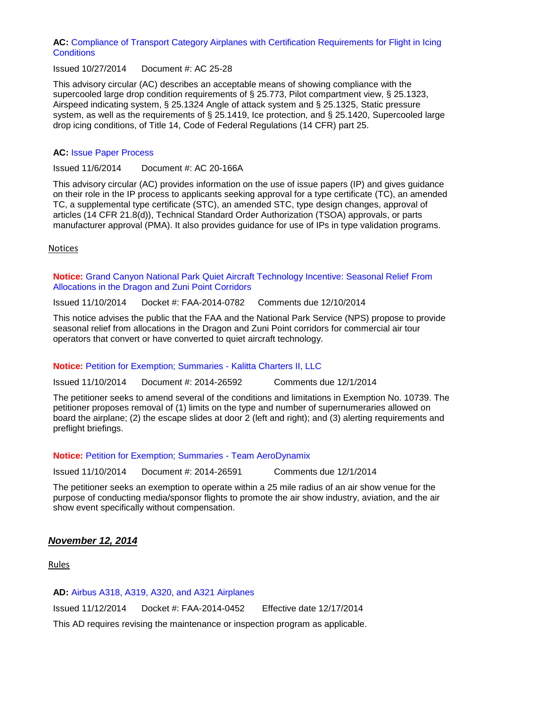### **AC:** [Compliance of Transport Category Airplanes with Certification Requirements for Flight in Icing](http://www.faa.gov/regulations_policies/advisory_circulars/index.cfm/go/document.information/documentID/1019691)  **[Conditions](http://www.faa.gov/regulations_policies/advisory_circulars/index.cfm/go/document.information/documentID/1019691)**

Issued 10/27/2014 Document #: AC 25-28

This advisory circular (AC) describes an acceptable means of showing compliance with the supercooled large drop condition requirements of § 25.773, Pilot compartment view, § 25.1323, Airspeed indicating system, § 25.1324 Angle of attack system and § 25.1325, Static pressure system, as well as the requirements of § 25.1419, Ice protection, and § 25.1420, Supercooled large drop icing conditions, of Title 14, Code of Federal Regulations (14 CFR) part 25.

### **AC:** [Issue Paper Process](http://www.faa.gov/regulations_policies/advisory_circulars/index.cfm/go/document.information/documentID/258266)

Issued 11/6/2014 Document #: AC 20-166A

This advisory circular (AC) provides information on the use of issue papers (IP) and gives guidance on their role in the IP process to applicants seeking approval for a type certificate (TC), an amended TC, a supplemental type certificate (STC), an amended STC, type design changes, approval of articles (14 CFR 21.8(d)), Technical Standard Order Authorization (TSOA) approvals, or parts manufacturer approval (PMA). It also provides guidance for use of IPs in type validation programs.

Notices

**Notice:** [Grand Canyon National Park Quiet Aircraft Technology Incentive: Seasonal Relief From](https://www.federalregister.gov/articles/2014/11/10/2014-26668/grand-canyon-national-park-quiet-aircraft-technology-incentive-seasonal-relief-from-allocations-in)  [Allocations in the Dragon and Zuni Point Corridors](https://www.federalregister.gov/articles/2014/11/10/2014-26668/grand-canyon-national-park-quiet-aircraft-technology-incentive-seasonal-relief-from-allocations-in)

Issued 11/10/2014 Docket #: FAA-2014-0782 Comments due 12/10/2014

This notice advises the public that the FAA and the National Park Service (NPS) propose to provide seasonal relief from allocations in the Dragon and Zuni Point corridors for commercial air tour operators that convert or have converted to quiet aircraft technology.

### **Notice:** [Petition for Exemption; Summaries -](https://www.federalregister.gov/articles/2014/11/10/2014-26592/petition-for-exemption-summary-of-petition-received) Kalitta Charters II, LLC

Issued 11/10/2014 Document #: 2014-26592 Comments due 12/1/2014

The petitioner seeks to amend several of the conditions and limitations in Exemption No. 10739. The petitioner proposes removal of (1) limits on the type and number of supernumeraries allowed on board the airplane; (2) the escape slides at door 2 (left and right); and (3) alerting requirements and preflight briefings.

### **Notice:** [Petition for Exemption; Summaries -](https://www.federalregister.gov/articles/2014/11/10/2014-26591/petition-for-exemption-summary-of-petition-received) Team AeroDynamix

Issued 11/10/2014 Document #: 2014-26591 Comments due 12/1/2014

The petitioner seeks an exemption to operate within a 25 mile radius of an air show venue for the purpose of conducting media/sponsor flights to promote the air show industry, aviation, and the air show event specifically without compensation.

### *November 12, 2014*

Rules

### **AD:** [Airbus A318, A319, A320, and A321 Airplanes](https://www.federalregister.gov/articles/2014/11/12/2014-26436/airworthiness-directives-airbus-airplanes)

Issued 11/12/2014 Docket #: FAA-2014-0452 Effective date 12/17/2014

This AD requires revising the maintenance or inspection program as applicable.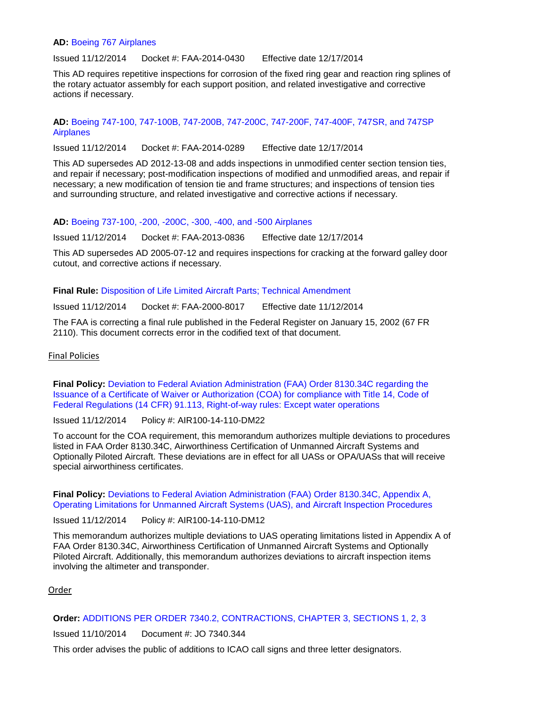#### **AD:** [Boeing 767 Airplanes](https://www.federalregister.gov/articles/2014/11/12/2014-26440/airworthiness-directives-the-boeing-company-airplanes)

Issued 11/12/2014 Docket #: FAA-2014-0430 Effective date 12/17/2014

This AD requires repetitive inspections for corrosion of the fixed ring gear and reaction ring splines of the rotary actuator assembly for each support position, and related investigative and corrective actions if necessary.

**AD:** [Boeing 747-100, 747-100B, 747-200B, 747-200C, 747-200F, 747-400F, 747SR, and 747SP](https://www.federalregister.gov/articles/2014/11/12/2014-26536/airworthiness-directives-the-boeing-company-airplanes)  [Airplanes](https://www.federalregister.gov/articles/2014/11/12/2014-26536/airworthiness-directives-the-boeing-company-airplanes)

Issued 11/12/2014 Docket #: FAA-2014-0289 Effective date 12/17/2014

This AD supersedes AD 2012-13-08 and adds inspections in unmodified center section tension ties, and repair if necessary; post-modification inspections of modified and unmodified areas, and repair if necessary; a new modification of tension tie and frame structures; and inspections of tension ties and surrounding structure, and related investigative and corrective actions if necessary.

**AD:** [Boeing 737-100, -200, -200C, -300, -400, and -500 Airplanes](https://www.federalregister.gov/articles/2014/11/12/2014-26434/airworthiness-directives-the-boeing-company-airplanes)

Issued 11/12/2014 Docket #: FAA-2013-0836 Effective date 12/17/2014

This AD supersedes AD 2005-07-12 and requires inspections for cracking at the forward galley door cutout, and corrective actions if necessary.

**Final Rule:** [Disposition of Life Limited Aircraft Parts; Technical Amendment](https://www.federalregister.gov/articles/2014/11/12/2014-26626/disposition-of-life-limited-aircraft-parts-technical-amendment)

Issued 11/12/2014 Docket #: FAA-2000-8017 Effective date 11/12/2014

The FAA is correcting a final rule published in the Federal Register on January 15, 2002 (67 FR 2110). This document corrects error in the codified text of that document.

#### Final Policies

**Final Policy:** [Deviation to Federal Aviation Administration \(FAA\) Order 8130.34C regarding the](http://rgl.faa.gov/Regulatory_and_Guidance_Library/rgPolicy.nsf/0/0B9313DB6D390AFB86257D8E0058FA00?OpenDocument)  [Issuance of a Certificate of Waiver or Authorization \(COA\) for compliance with Title 14, Code of](http://rgl.faa.gov/Regulatory_and_Guidance_Library/rgPolicy.nsf/0/0B9313DB6D390AFB86257D8E0058FA00?OpenDocument)  [Federal Regulations \(14 CFR\) 91.113, Right-of-way rules: Except water operations](http://rgl.faa.gov/Regulatory_and_Guidance_Library/rgPolicy.nsf/0/0B9313DB6D390AFB86257D8E0058FA00?OpenDocument)

Issued 11/12/2014 Policy #: AIR100-14-110-DM22

To account for the COA requirement, this memorandum authorizes multiple deviations to procedures listed in FAA Order 8130.34C, Airworthiness Certification of Unmanned Aircraft Systems and Optionally Piloted Aircraft. These deviations are in effect for all UASs or OPA/UASs that will receive special airworthiness certificates.

**Final Policy:** [Deviations to Federal Aviation Administration \(FAA\) Order 8130.34C, Appendix A,](http://rgl.faa.gov/Regulatory_and_Guidance_Library/rgPolicy.nsf/0/9592578C2F19DF6E86257D8E005765D6?OpenDocument)  [Operating Limitations for Unmanned Aircraft Systems \(UAS\), and Aircraft Inspection Procedures](http://rgl.faa.gov/Regulatory_and_Guidance_Library/rgPolicy.nsf/0/9592578C2F19DF6E86257D8E005765D6?OpenDocument)

Issued 11/12/2014 Policy #: AIR100-14-110-DM12

This memorandum authorizes multiple deviations to UAS operating limitations listed in Appendix A of FAA Order 8130.34C, Airworthiness Certification of Unmanned Aircraft Systems and Optionally Piloted Aircraft. Additionally, this memorandum authorizes deviations to aircraft inspection items involving the altimeter and transponder.

### Order

### **Order:** [ADDITIONS PER ORDER 7340.2, CONTRACTIONS, CHAPTER 3, SECTIONS 1, 2, 3](http://www.faa.gov/regulations_policies/orders_notices/index.cfm/go/document.information/documentID/1026186)

Issued 11/10/2014 Document #: JO 7340.344

This order advises the public of additions to ICAO call signs and three letter designators.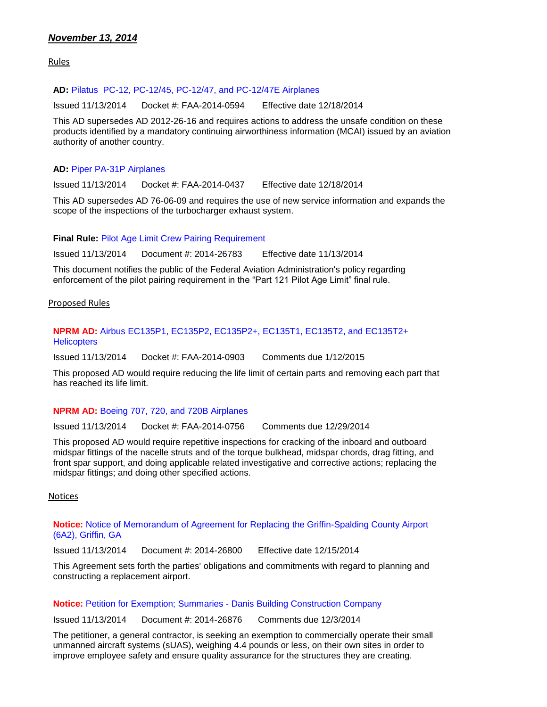## *November 13, 2014*

Rules

### **AD:** [Pilatus PC-12, PC-12/45, PC-12/47, and PC-12/47E Airplanes](https://www.federalregister.gov/articles/2014/11/13/2014-26704/airworthiness-directives-pilatus-aircraft-ltd-airplanes)

Issued 11/13/2014 Docket #: FAA-2014-0594 Effective date 12/18/2014

This AD supersedes AD 2012-26-16 and requires actions to address the unsafe condition on these products identified by a mandatory continuing airworthiness information (MCAI) issued by an aviation authority of another country.

### **AD:** [Piper PA-31P Airplanes](https://www.federalregister.gov/articles/2014/11/13/2014-26706/airworthiness-directives-piper-aircraft-inc)

Issued 11/13/2014 Docket #: FAA-2014-0437 Effective date 12/18/2014

This AD supersedes AD 76-06-09 and requires the use of new service information and expands the scope of the inspections of the turbocharger exhaust system.

### **Final Rule:** [Pilot Age Limit Crew Pairing Requirement](https://www.federalregister.gov/articles/2014/11/13/2014-26783/pilot-age-limit-crew-pairing-requirement)

Issued 11/13/2014 Document #: 2014-26783 Effective date 11/13/2014

This document notifies the public of the Federal Aviation Administration's policy regarding enforcement of the pilot pairing requirement in the "Part 121 Pilot Age Limit" final rule.

#### Proposed Rules

### **NPRM AD:** [Airbus EC135P1, EC135P2, EC135P2+, EC135T1, EC135T2, and EC135T2+](https://www.federalregister.gov/articles/2014/11/13/2014-26836/airworthiness-directives-airbus-helicopters-deutschland-gmbh-previously-eurocopter-deutschland-gmbh)  **[Helicopters](https://www.federalregister.gov/articles/2014/11/13/2014-26836/airworthiness-directives-airbus-helicopters-deutschland-gmbh-previously-eurocopter-deutschland-gmbh)**

Issued 11/13/2014 Docket #: FAA-2014-0903 Comments due 1/12/2015

This proposed AD would require reducing the life limit of certain parts and removing each part that has reached its life limit.

### **NPRM AD:** [Boeing 707, 720, and 720B Airplanes](https://www.federalregister.gov/articles/2014/11/13/2014-26837/airworthiness-directives-the-boeing-company-airplanes)

Issued 11/13/2014 Docket #: FAA-2014-0756 Comments due 12/29/2014

This proposed AD would require repetitive inspections for cracking of the inboard and outboard midspar fittings of the nacelle struts and of the torque bulkhead, midspar chords, drag fitting, and front spar support, and doing applicable related investigative and corrective actions; replacing the midspar fittings; and doing other specified actions.

Notices

#### **Notice:** [Notice of Memorandum of Agreement for Replacing the Griffin-Spalding County Airport](https://www.federalregister.gov/articles/2014/11/13/2014-26800/notice-of-memorandum-of-agreement-for-replacing-the-griffin-spalding-county-airport-6a2-griffin-ga)  [\(6A2\), Griffin, GA](https://www.federalregister.gov/articles/2014/11/13/2014-26800/notice-of-memorandum-of-agreement-for-replacing-the-griffin-spalding-county-airport-6a2-griffin-ga)

Issued 11/13/2014 Document #: 2014-26800 Effective date 12/15/2014

This Agreement sets forth the parties' obligations and commitments with regard to planning and constructing a replacement airport.

### **Notice:** Petition for Exemption; Summaries - [Danis Building Construction Company](https://www.federalregister.gov/articles/2014/11/13/2014-26876/petition-for-exemption-summary-of-petition-received)

Issued 11/13/2014 Document #: 2014-26876 Comments due 12/3/2014

The petitioner, a general contractor, is seeking an exemption to commercially operate their small unmanned aircraft systems (sUAS), weighing 4.4 pounds or less, on their own sites in order to improve employee safety and ensure quality assurance for the structures they are creating.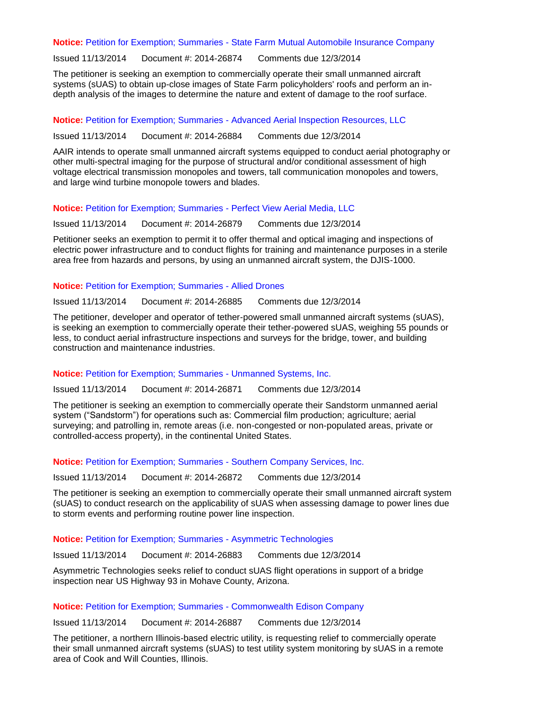#### **Notice:** Petition for Exemption; Summaries - [State Farm Mutual Automobile Insurance Company](https://www.federalregister.gov/articles/2014/11/13/2014-26874/petition-for-exemption-summary-of-petition-received)

Issued 11/13/2014 Document #: 2014-26874 Comments due 12/3/2014

The petitioner is seeking an exemption to commercially operate their small unmanned aircraft systems (sUAS) to obtain up-close images of State Farm policyholders' roofs and perform an indepth analysis of the images to determine the nature and extent of damage to the roof surface.

#### **Notice:** Petition for Exemption; Summaries - [Advanced Aerial Inspection Resources, LLC](https://www.federalregister.gov/articles/2014/11/13/2014-26884/petition-for-exemption-summary-of-petition-received)

Issued 11/13/2014 Document #: 2014-26884 Comments due 12/3/2014

AAIR intends to operate small unmanned aircraft systems equipped to conduct aerial photography or other multi-spectral imaging for the purpose of structural and/or conditional assessment of high voltage electrical transmission monopoles and towers, tall communication monopoles and towers, and large wind turbine monopole towers and blades.

**Notice:** [Petition for Exemption; Summaries -](https://www.federalregister.gov/articles/2014/11/13/2014-26879/petition-for-exemption-summary-of-petition-received) Perfect View Aerial Media, LLC

Issued 11/13/2014 Document #: 2014-26879 Comments due 12/3/2014

Petitioner seeks an exemption to permit it to offer thermal and optical imaging and inspections of electric power infrastructure and to conduct flights for training and maintenance purposes in a sterile area free from hazards and persons, by using an unmanned aircraft system, the DJIS-1000.

#### **Notice:** [Petition for Exemption; Summaries -](https://www.federalregister.gov/articles/2014/11/13/2014-26885/petition-for-exemption-summary-of-petition-received) Allied Drones

Issued 11/13/2014 Document #: 2014-26885 Comments due 12/3/2014

The petitioner, developer and operator of tether-powered small unmanned aircraft systems (sUAS), is seeking an exemption to commercially operate their tether-powered sUAS, weighing 55 pounds or less, to conduct aerial infrastructure inspections and surveys for the bridge, tower, and building construction and maintenance industries.

#### **Notice:** [Petition for Exemption; Summaries -](https://www.federalregister.gov/articles/2014/11/13/2014-26871/petition-for-exemption-summary-of-petition-received) Unmanned Systems, Inc.

Issued 11/13/2014 Document #: 2014-26871 Comments due 12/3/2014

The petitioner is seeking an exemption to commercially operate their Sandstorm unmanned aerial system ("Sandstorm") for operations such as: Commercial film production; agriculture; aerial surveying; and patrolling in, remote areas (i.e. non-congested or non-populated areas, private or controlled-access property), in the continental United States.

**Notice:** [Petition for Exemption; Summaries -](https://www.federalregister.gov/articles/2014/11/13/2014-26872/petition-for-exemption-summary-of-petition-received) Southern Company Services, Inc.

Issued 11/13/2014 Document #: 2014-26872 Comments due 12/3/2014

The petitioner is seeking an exemption to commercially operate their small unmanned aircraft system (sUAS) to conduct research on the applicability of sUAS when assessing damage to power lines due to storm events and performing routine power line inspection.

#### **Notice:** [Petition for Exemption; Summaries -](https://www.federalregister.gov/articles/2014/11/13/2014-26883/petition-for-exemption-summary-of-petition-received) Asymmetric Technologies

Issued 11/13/2014 Document #: 2014-26883 Comments due 12/3/2014

Asymmetric Technologies seeks relief to conduct sUAS flight operations in support of a bridge inspection near US Highway 93 in Mohave County, Arizona.

#### **Notice:** [Petition for Exemption; Summaries -](https://www.federalregister.gov/articles/2014/11/13/2014-26887/petition-for-exemption-summary-of-petition-received) Commonwealth Edison Company

Issued 11/13/2014 Document #: 2014-26887 Comments due 12/3/2014

The petitioner, a northern Illinois-based electric utility, is requesting relief to commercially operate their small unmanned aircraft systems (sUAS) to test utility system monitoring by sUAS in a remote area of Cook and Will Counties, Illinois.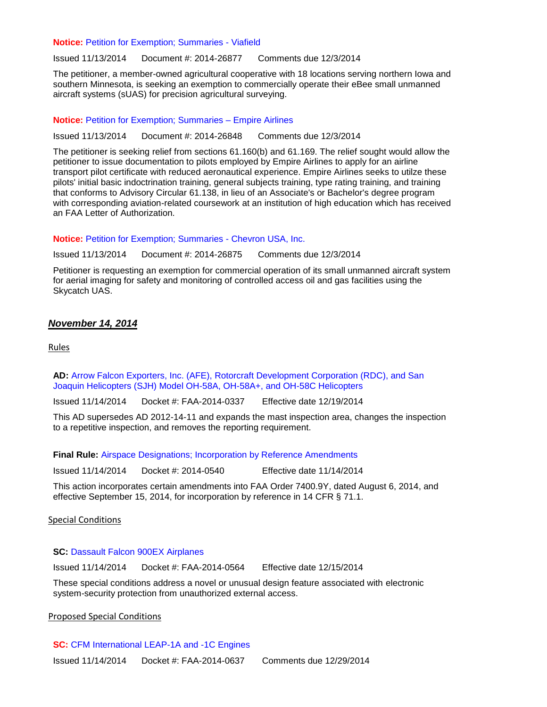#### **Notice:** [Petition for Exemption; Summaries -](https://www.federalregister.gov/articles/2014/11/13/2014-26877/petition-for-exemption-summary-of-petition-received) Viafield

Issued 11/13/2014 Document #: 2014-26877 Comments due 12/3/2014

The petitioner, a member-owned agricultural cooperative with 18 locations serving northern Iowa and southern Minnesota, is seeking an exemption to commercially operate their eBee small unmanned aircraft systems (sUAS) for precision agricultural surveying.

#### **Notice:** [Petition for Exemption; Summaries –](https://www.federalregister.gov/articles/2014/11/13/2014-26848/petition-for-exemption-summary-of-petition-received) Empire Airlines

Issued 11/13/2014 Document #: 2014-26848 Comments due 12/3/2014

The petitioner is seeking relief from sections 61.160(b) and 61.169. The relief sought would allow the petitioner to issue documentation to pilots employed by Empire Airlines to apply for an airline transport pilot certificate with reduced aeronautical experience. Empire Airlines seeks to utilze these pilots' initial basic indoctrination training, general subjects training, type rating training, and training that conforms to Advisory Circular 61.138, in lieu of an Associate's or Bachelor's degree program with corresponding aviation-related coursework at an institution of high education which has received an FAA Letter of Authorization.

**Notice:** [Petition for Exemption; Summaries -](https://www.federalregister.gov/articles/2014/11/13/2014-26875/petition-for-exemption-summary-of-petition-received) Chevron USA, Inc.

Issued 11/13/2014 Document #: 2014-26875 Comments due 12/3/2014

Petitioner is requesting an exemption for commercial operation of its small unmanned aircraft system for aerial imaging for safety and monitoring of controlled access oil and gas facilities using the Skycatch UAS.

### *November 14, 2014*

Rules

**AD:** [Arrow Falcon Exporters, Inc. \(AFE\), Rotorcraft Development Corporation \(RDC\), and San](https://www.federalregister.gov/articles/2014/11/14/2014-26829/airworthiness-directives-various-restricted-category-helicopters)  [Joaquin Helicopters \(SJH\) Model OH-58A, OH-58A+, and OH-58C Helicopters](https://www.federalregister.gov/articles/2014/11/14/2014-26829/airworthiness-directives-various-restricted-category-helicopters)

Issued 11/14/2014 Docket #: FAA-2014-0337 Effective date 12/19/2014

This AD supersedes AD 2012-14-11 and expands the mast inspection area, changes the inspection to a repetitive inspection, and removes the reporting requirement.

**Final Rule:** [Airspace Designations; Incorporation by Reference Amendments](https://www.federalregister.gov/articles/2014/11/14/2014-26861/airspace-designations-incorporation-by-reference-amendments)

Issued 11/14/2014 Docket #: 2014-0540 Effective date 11/14/2014

This action incorporates certain amendments into FAA Order 7400.9Y, dated August 6, 2014, and effective September 15, 2014, for incorporation by reference in 14 CFR § 71.1.

Special Conditions

#### **SC:** [Dassault Falcon 900EX Airplanes](https://www.federalregister.gov/articles/2014/11/14/2014-26819/special-conditions-dassault-model-falcon-900ex-airplane-electronic-system-security-protection-from)

Issued 11/14/2014 Docket #: FAA-2014-0564 Effective date 12/15/2014

These special conditions address a novel or unusual design feature associated with electronic system-security protection from unauthorized external access.

Proposed Special Conditions

**SC:** [CFM International LEAP-1A and -1C Engines](https://www.federalregister.gov/articles/2014/11/14/2014-27019/special-conditions-cfm-international-leap-1a-and--1c-engine-models-incorporation-of-woven-composite) Issued 11/14/2014 Docket #: FAA-2014-0637 Comments due 12/29/2014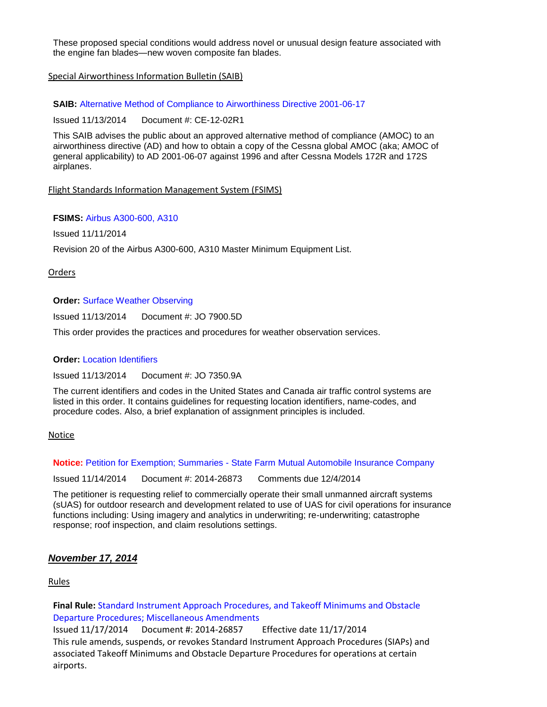These proposed special conditions would address novel or unusual design feature associated with the engine fan blades—new woven composite fan blades.

### Special Airworthiness Information Bulletin (SAIB)

**SAIB:** [Alternative Method of Compliance to Airworthiness Directive 2001-06-17](http://rgl.faa.gov/Regulatory_and_Guidance_Library/rgSAIB.nsf/dc7bd4f27e5f107486257221005f069d/7cf1f9ee4341c3c186257d8f00743efa/$FILE/CE-12-02R1.pdf)

Issued 11/13/2014 Document #: CE-12-02R1

This SAIB advises the public about an approved alternative method of compliance (AMOC) to an airworthiness directive (AD) and how to obtain a copy of the Cessna global AMOC (aka; AMOC of general applicability) to AD 2001-06-07 against 1996 and after Cessna Models 172R and 172S airplanes.

Flight Standards Information Management System (FSIMS)

### **FSIMS:** [Airbus A300-600, A310](http://fsims.faa.gov/PICDetail.aspx?docId=M%20A-300-600%20R20)

Issued 11/11/2014

Revision 20 of the Airbus A300-600, A310 Master Minimum Equipment List.

### Orders

### **Order:** [Surface Weather Observing](http://www.faa.gov/regulations_policies/orders_notices/index.cfm/go/document.information/documentID/1026206)

Issued 11/13/2014 Document #: JO 7900.5D

This order provides the practices and procedures for weather observation services.

### **Order: [Location Identifiers](http://www.faa.gov/regulations_policies/orders_notices/index.cfm/go/document.information/documentID/1024006)**

Issued 11/13/2014 Document #: JO 7350.9A

The current identifiers and codes in the United States and Canada air traffic control systems are listed in this order. It contains guidelines for requesting location identifiers, name-codes, and procedure codes. Also, a brief explanation of assignment principles is included.

### Notice

**Notice: Petition for Exemption; Summaries - [State Farm Mutual Automobile Insurance Company](https://www.federalregister.gov/articles/2014/11/14/2014-26873/petition-for-exemption-summary-of-petition-received)** 

Issued 11/14/2014 Document #: 2014-26873 Comments due 12/4/2014

The petitioner is requesting relief to commercially operate their small unmanned aircraft systems (sUAS) for outdoor research and development related to use of UAS for civil operations for insurance functions including: Using imagery and analytics in underwriting; re-underwriting; catastrophe response; roof inspection, and claim resolutions settings.

# *November 17, 2014*

Rules

**Final Rule:** [Standard Instrument Approach Procedures, and](https://www.federalregister.gov/articles/2014/11/17/2014-26857/standard-instrument-approach-procedures-and-takeoff-minimums-and-obstacle-departure-procedures) Takeoff Minimums and Obstacle [Departure Procedures; Miscellaneous Amendments](https://www.federalregister.gov/articles/2014/11/17/2014-26857/standard-instrument-approach-procedures-and-takeoff-minimums-and-obstacle-departure-procedures)

Issued 11/17/2014 Document #: 2014-26857 Effective date 11/17/2014 This rule amends, suspends, or revokes Standard Instrument Approach Procedures (SIAPs) and associated Takeoff Minimums and Obstacle Departure Procedures for operations at certain airports.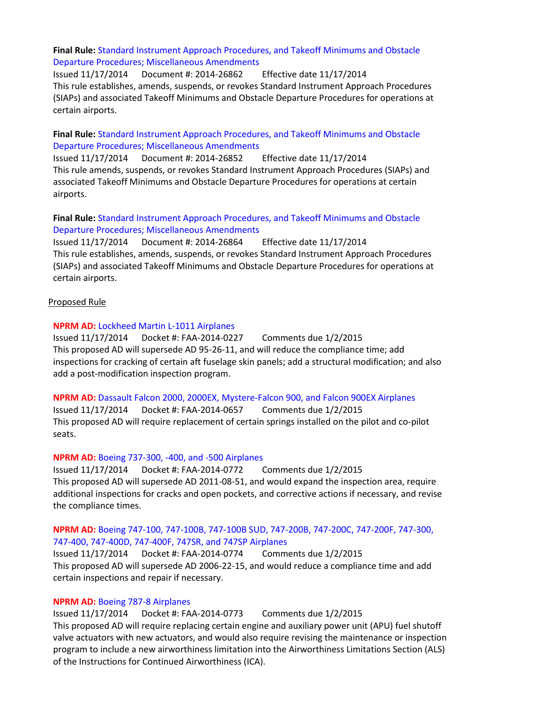### **Final Rule:** [Standard Instrument Approach Procedures, and Takeoff Minimums and Obstacle](https://www.federalregister.gov/articles/2014/11/17/2014-26862/standard-instrument-approach-procedures-and-takeoff-minimums-and-obstacle-departure-procedures)  [Departure Procedures; Miscellaneous Amendments](https://www.federalregister.gov/articles/2014/11/17/2014-26862/standard-instrument-approach-procedures-and-takeoff-minimums-and-obstacle-departure-procedures)

Issued 11/17/2014 Document #: 2014-26862 Effective date 11/17/2014 This rule establishes, amends, suspends, or revokes Standard Instrument Approach Procedures (SIAPs) and associated Takeoff Minimums and Obstacle Departure Procedures for operations at certain airports.

### **Final Rule:** [Standard Instrument Approach Procedures, and Takeoff Minimums and Obstacle](https://www.federalregister.gov/articles/2014/11/17/2014-26852/standard-instrument-approach-procedures-and-takeoff-minimums-and-obstacle-departure-procedures)  [Departure Procedures; Miscellaneous Amendments](https://www.federalregister.gov/articles/2014/11/17/2014-26852/standard-instrument-approach-procedures-and-takeoff-minimums-and-obstacle-departure-procedures)

Issued 11/17/2014 Document #: 2014-26852 Effective date 11/17/2014 This rule amends, suspends, or revokes Standard Instrument Approach Procedures (SIAPs) and associated Takeoff Minimums and Obstacle Departure Procedures for operations at certain airports.

### **Final Rule:** [Standard Instrument Approach Procedures, and Takeoff Minimums and Obstacle](https://www.federalregister.gov/articles/2014/11/17/2014-26864/standard-instrument-approach-procedures-and-takeoff-minimums-and-obstacle-departure-procedures)  Departure [Procedures; Miscellaneous Amendments](https://www.federalregister.gov/articles/2014/11/17/2014-26864/standard-instrument-approach-procedures-and-takeoff-minimums-and-obstacle-departure-procedures)

Issued 11/17/2014 Document #: 2014-26864 Effective date 11/17/2014 This rule establishes, amends, suspends, or revokes Standard Instrument Approach Procedures (SIAPs) and associated Takeoff Minimums and Obstacle Departure Procedures for operations at certain airports.

### Proposed Rule

### **NPRM AD:** [Lockheed Martin L-1011 Airplanes](https://www.federalregister.gov/articles/2014/11/17/2014-27067/airworthiness-directives-lockheed-martin-corporationlockheed-martin-aeronautics-company-airplanes)

Issued 11/17/2014 Docket #: FAA-2014-0227 Comments due 1/2/2015 This proposed AD will supersede AD 95-26-11, and will reduce the compliance time; add inspections for cracking of certain aft fuselage skin panels; add a structural modification; and also add a post-modification inspection program.

### **NPRM AD:** [Dassault Falcon 2000, 2000EX, Mystere-Falcon 900, and Falcon 900EX Airplanes](https://www.federalregister.gov/articles/2014/11/17/2014-27068/airworthiness-directives-dassault-aviation-airplanes)

Issued 11/17/2014 Docket #: FAA-2014-0657 Comments due 1/2/2015 This proposed AD will require replacement of certain springs installed on the pilot and co-pilot seats.

### **NPRM AD:** [Boeing 737-300, -400, and -500 Airplanes](https://www.federalregister.gov/articles/2014/11/17/2014-27070/airworthiness-directives-the-boeing-company-airplanes)

Issued 11/17/2014 Docket #: FAA-2014-0772 Comments due 1/2/2015 This proposed AD will supersede AD 2011-08-51, and would expand the inspection area, require additional inspections for cracks and open pockets, and corrective actions if necessary, and revise the compliance times.

### **NPRM AD:** [Boeing 747-100, 747-100B, 747-100B SUD, 747-200B, 747-200C, 747-200F, 747-300,](https://www.federalregister.gov/articles/2014/11/17/2014-27066/airworthiness-directives-the-boeing-company-airplanes)  [747-400, 747-400D, 747-400F, 747SR, and 747SP Airplanes](https://www.federalregister.gov/articles/2014/11/17/2014-27066/airworthiness-directives-the-boeing-company-airplanes)

Issued 11/17/2014 Docket #: FAA-2014-0774 Comments due 1/2/2015 This proposed AD will supersede AD 2006-22-15, and would reduce a compliance time and add certain inspections and repair if necessary.

# **NPRM AD:** [Boeing 787-8 Airplanes](https://www.federalregister.gov/articles/2014/11/17/2014-27069/airworthiness-directives-the-boeing-company-airplanes)

Issued 11/17/2014 Docket #: FAA-2014-0773 Comments due 1/2/2015 This proposed AD will require replacing certain engine and auxiliary power unit (APU) fuel shutoff valve actuators with new actuators, and would also require revising the maintenance or inspection program to include a new airworthiness limitation into the Airworthiness Limitations Section (ALS) of the Instructions for Continued Airworthiness (ICA).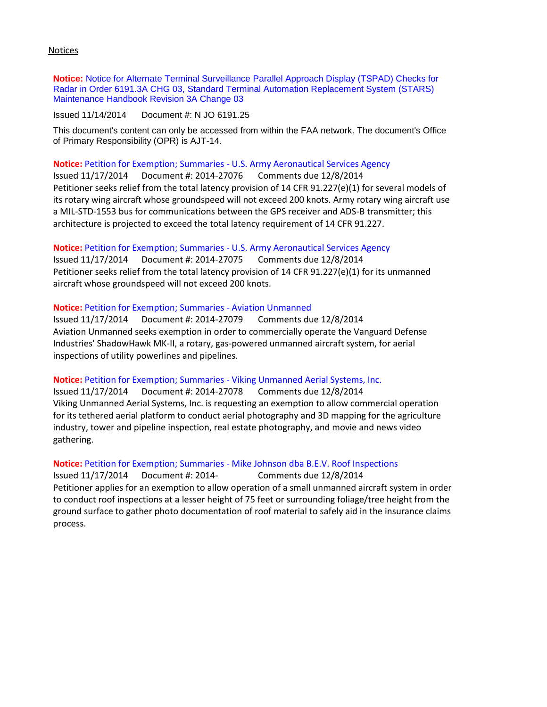Notices

**Notice:** [Notice for Alternate Terminal Surveillance Parallel Approach Display \(TSPAD\) Checks for](http://www.faa.gov/regulations_policies/orders_notices/index.cfm/go/document.information/documentID/1025888)  [Radar in Order 6191.3A CHG 03, Standard Terminal Automation Replacement System \(STARS\)](http://www.faa.gov/regulations_policies/orders_notices/index.cfm/go/document.information/documentID/1025888)  [Maintenance Handbook Revision 3A Change 03](http://www.faa.gov/regulations_policies/orders_notices/index.cfm/go/document.information/documentID/1025888)

Issued 11/14/2014 Document #: N JO 6191.25

This document's content can only be accessed from within the FAA network. The document's Office of Primary Responsibility (OPR) is AJT-14.

**Notice:** Petition for Exemption; Summaries - [U.S. Army Aeronautical Services Agency](https://www.federalregister.gov/articles/2014/11/17/2014-27076/petition-for-exemption-summary-of-petition-received) Issued 11/17/2014 Document #: 2014-27076 Comments due 12/8/2014 Petitioner seeks relief from the total latency provision of 14 CFR 91.227(e)(1) for several models of its rotary wing aircraft whose groundspeed will not exceed 200 knots. Army rotary wing aircraft use a MIL-STD-1553 bus for communications between the GPS receiver and ADS-B transmitter; this architecture is projected to exceed the total latency requirement of 14 CFR 91.227.

**Notice:** Petition for Exemption; Summaries - [U.S. Army Aeronautical Services Agency](https://www.federalregister.gov/articles/2014/11/17/2014-27075/petition-for-exemption-summary-of-petition-received)

Issued 11/17/2014 Document #: 2014-27075 Comments due 12/8/2014 Petitioner seeks relief from the total latency provision of 14 CFR 91.227(e)(1) for its unmanned aircraft whose groundspeed will not exceed 200 knots.

### **Notice:** [Petition for Exemption; Summaries -](https://www.federalregister.gov/articles/2014/11/17/2014-27079/petition-for-exemption-summary-of-petition-received) Aviation Unmanned

Issued 11/17/2014 Document #: 2014-27079 Comments due 12/8/2014 Aviation Unmanned seeks exemption in order to commercially operate the Vanguard Defense Industries' ShadowHawk MK-II, a rotary, gas-powered unmanned aircraft system, for aerial inspections of utility powerlines and pipelines.

**Notice:** Petition for Exemption; Summaries - [Viking Unmanned Aerial Systems, Inc.](https://www.federalregister.gov/articles/2014/11/17/2014-27078/petition-for-exemption-summary-of-petition-received)

Issued 11/17/2014 Document #: 2014-27078 Comments due 12/8/2014 Viking Unmanned Aerial Systems, Inc. is requesting an exemption to allow commercial operation for its tethered aerial platform to conduct aerial photography and 3D mapping for the agriculture industry, tower and pipeline inspection, real estate photography, and movie and news video gathering.

**Notice:** Petition for Exemption; Summaries - [Mike Johnson dba B.E.V. Roof Inspections](https://www.federalregister.gov/articles/2014/11/17/2014-27077/petition-for-exemption-summary-of-petition-received) Issued 11/17/2014 Document #: 2014- Comments due 12/8/2014 Petitioner applies for an exemption to allow operation of a small unmanned aircraft system in order to conduct roof inspections at a lesser height of 75 feet or surrounding foliage/tree height from the ground surface to gather photo documentation of roof material to safely aid in the insurance claims process.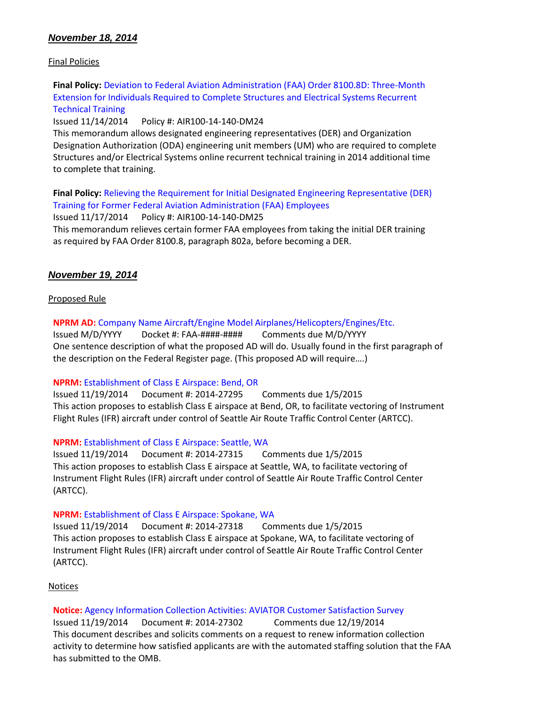# *November 18, 2014*

### Final Policies

**Final Policy:** [Deviation to Federal Aviation Administration \(FAA\) Order 8100.8D: Three-Month](http://rgl.faa.gov/Regulatory_and_Guidance_Library/rgPolicy.nsf/0/01460991FBBDDDAC86257D9300723440?OpenDocument)  [Extension for Individuals Required to Complete Structures and Electrical Systems Recurrent](http://rgl.faa.gov/Regulatory_and_Guidance_Library/rgPolicy.nsf/0/01460991FBBDDDAC86257D9300723440?OpenDocument)  [Technical Training](http://rgl.faa.gov/Regulatory_and_Guidance_Library/rgPolicy.nsf/0/01460991FBBDDDAC86257D9300723440?OpenDocument)

Issued 11/14/2014 Policy #: AIR100-14-140-DM24

This memorandum allows designated engineering representatives (DER) and Organization Designation Authorization (ODA) engineering unit members (UM) who are required to complete Structures and/or Electrical Systems online recurrent technical training in 2014 additional time to complete that training.

**Final Policy:** [Relieving the Requirement for Initial Designated Engineering Representative \(DER\)](http://rgl.faa.gov/Regulatory_and_Guidance_Library/rgPolicy.nsf/0/CE71AF82A86BE69F86257D930071DCF4?OpenDocument)  [Training for Former Federal Aviation Administration \(FAA\) Employees](http://rgl.faa.gov/Regulatory_and_Guidance_Library/rgPolicy.nsf/0/CE71AF82A86BE69F86257D930071DCF4?OpenDocument) Issued 11/17/2014 Policy #: AIR100-14-140-DM25

This memorandum relieves certain former FAA employees from taking the initial DER training as required by FAA Order 8100.8, paragraph 802a, before becoming a DER.

### *November 19, 2014*

### Proposed Rule

**NPRM AD:** [Company Name Aircraft/Engine Model Airplanes/Helicopters/Engines/Etc.](https://www.federalregister.gov/agencies/federal-aviation-administration)

Issued M/D/YYYY Docket #: FAA-####-#### Comments due M/D/YYYY One sentence description of what the proposed AD will do. Usually found in the first paragraph of the description on the Federal Register page. (This proposed AD will require….)

### **NPRM:** [Establishment of Class E Airspace: Bend, OR](https://www.federalregister.gov/articles/2014/11/19/2014-27295/proposed-establishment-of-class-e-airspace-bend-or)

Issued 11/19/2014 Document #: 2014-27295 Comments due 1/5/2015 This action proposes to establish Class E airspace at Bend, OR, to facilitate vectoring of Instrument Flight Rules (IFR) aircraft under control of Seattle Air Route Traffic Control Center (ARTCC).

### **NPRM:** [Establishment of Class E Airspace: Seattle, WA](https://www.federalregister.gov/articles/2014/11/19/2014-27315/proposed-establishment-of-class-e-airspace-seattle-wa)

Issued 11/19/2014 Document #: 2014-27315 Comments due 1/5/2015 This action proposes to establish Class E airspace at Seattle, WA, to facilitate vectoring of Instrument Flight Rules (IFR) aircraft under control of Seattle Air Route Traffic Control Center (ARTCC).

### **NPRM:** [Establishment of Class E Airspace: Spokane, WA](https://www.federalregister.gov/articles/2014/11/19/2014-27318/proposed-establishment-of-class-e-airspace-spokane-wa)

Issued 11/19/2014 Document #: 2014-27318 Comments due 1/5/2015 This action proposes to establish Class E airspace at Spokane, WA, to facilitate vectoring of Instrument Flight Rules (IFR) aircraft under control of Seattle Air Route Traffic Control Center (ARTCC).

### **Notices**

**Notice:** [Agency Information Collection Activities: AVIATOR Customer Satisfaction Survey](https://www.federalregister.gov/articles/2014/11/19/2014-27302/agency-information-collection-activities-requests-for-comments-clearance-of-renewed-approval-of)

Issued 11/19/2014 Document #: 2014-27302 Comments due 12/19/2014 This document describes and solicits comments on a request to renew information collection activity to determine how satisfied applicants are with the automated staffing solution that the FAA has submitted to the OMB.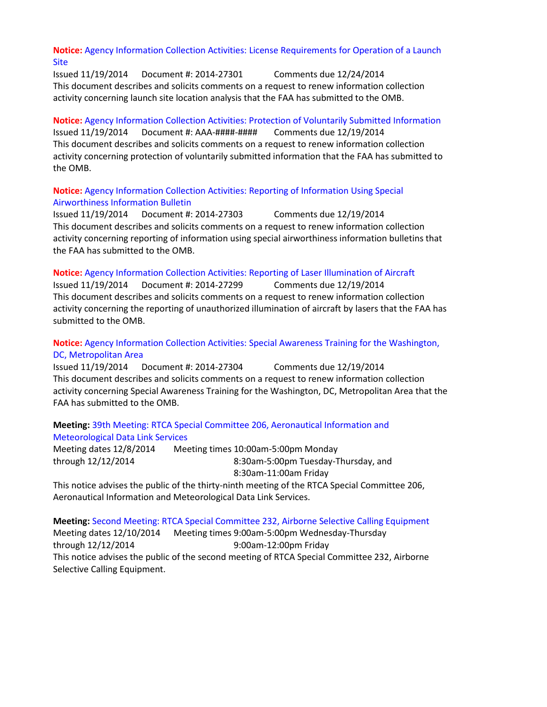### **Notice:** [Agency Information Collection Activities: License Requirements for Operation of a Launch](https://www.federalregister.gov/articles/2014/11/19/2014-27301/agency-information-collection-activities-requests-for-comments-clearance-of-renewed-approval-of)  [Site](https://www.federalregister.gov/articles/2014/11/19/2014-27301/agency-information-collection-activities-requests-for-comments-clearance-of-renewed-approval-of)

Issued 11/19/2014 Document #: 2014-27301 Comments due 12/24/2014 This document describes and solicits comments on a request to renew information collection activity concerning launch site location analysis that the FAA has submitted to the OMB.

# **Notice:** [Agency Information Collection Activities: Protection of Voluntarily Submitted Information](https://www.federalregister.gov/articles/2014/11/19/2014-27298/agency-information-collection-activities-requests-for-comments-clearance-of-renewed-approval-of) Issued 11/19/2014 Document #: AAA-####-#### Comments due 12/19/2014 This document describes and solicits comments on a request to renew information collection activity concerning protection of voluntarily submitted information that the FAA has submitted to the OMB.

### **Notice:** [Agency Information Collection Activities: Reporting of Information Using Special](https://www.federalregister.gov/articles/2014/11/19/2014-27303/agency-information-collection-activities-requests-for-comments-clearance-of-renewed-approval-of)  [Airworthiness Information Bulletin](https://www.federalregister.gov/articles/2014/11/19/2014-27303/agency-information-collection-activities-requests-for-comments-clearance-of-renewed-approval-of)

Issued 11/19/2014 Document #: 2014-27303 Comments due 12/19/2014 This document describes and solicits comments on a request to renew information collection activity concerning reporting of information using special airworthiness information bulletins that the FAA has submitted to the OMB.

### **Notice:** [Agency Information Collection Activities: Reporting of Laser Illumination of Aircraft](https://www.federalregister.gov/articles/2014/11/19/2014-27299/agency-information-collection-activities-requests-for-comments-clearance-of-renewed-approval-of)

Issued 11/19/2014 Document #: 2014-27299 Comments due 12/19/2014 This document describes and solicits comments on a request to renew information collection activity concerning the reporting of unauthorized illumination of aircraft by lasers that the FAA has submitted to the OMB.

# **Notice:** [Agency Information Collection Activities: Special Awareness Training for the Washington,](https://www.federalregister.gov/articles/2014/11/19/2014-27304/agency-information-collection-activities-requests-for-comments-clearance-of-renewed-approval-of)  [DC, Metropolitan Area](https://www.federalregister.gov/articles/2014/11/19/2014-27304/agency-information-collection-activities-requests-for-comments-clearance-of-renewed-approval-of)

Issued 11/19/2014 Document #: 2014-27304 Comments due 12/19/2014 This document describes and solicits comments on a request to renew information collection activity concerning Special Awareness Training for the Washington, DC, Metropolitan Area that the FAA has submitted to the OMB.

# **Meeting:** [39th Meeting: RTCA Special Committee 206, Aeronautical Information and](https://www.federalregister.gov/articles/2014/11/19/2014-27319/39th-meeting-rtca-special-committee-206-aeronautical-information-and-meteorological-data-link)  Meteorological [Data Link Services](https://www.federalregister.gov/articles/2014/11/19/2014-27319/39th-meeting-rtca-special-committee-206-aeronautical-information-and-meteorological-data-link)

Meeting dates 12/8/2014 through 12/12/2014 Meeting times 10:00am-5:00pm Monday 8:30am-5:00pm Tuesday-Thursday, and 8:30am-11:00am Friday

This notice advises the public of the thirty-ninth meeting of the RTCA Special Committee 206, Aeronautical Information and Meteorological Data Link Services.

**Meeting:** [Second Meeting: RTCA Special Committee 232, Airborne Selective Calling Equipment](https://www.federalregister.gov/articles/2014/11/19/2014-27307/second-meeting-rtca-special-committee-232-airborne-selective-calling-equipment) Meeting dates 12/10/2014 through 12/12/2014 Meeting times 9:00am-5:00pm Wednesday-Thursday 9:00am-12:00pm Friday This notice advises the public of the second meeting of RTCA Special Committee 232, Airborne Selective Calling Equipment.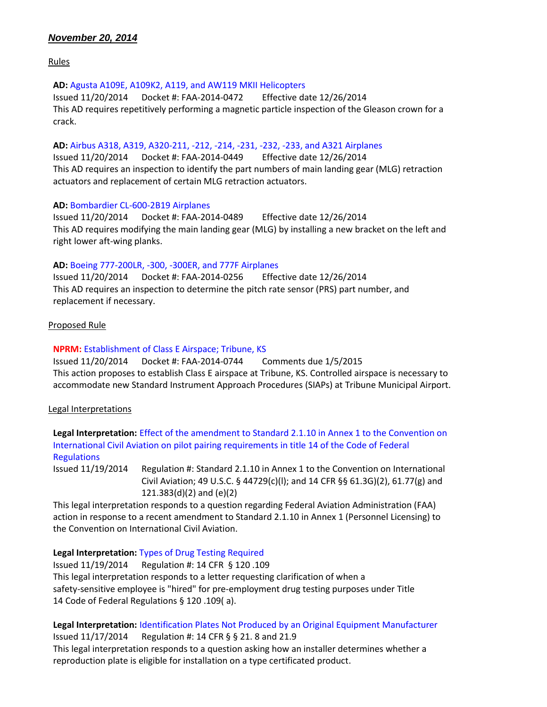# *November 20, 2014*

Rules

### **AD:** [Agusta A109E, A109K2, A119, and AW119 MKII Helicopters](https://www.federalregister.gov/articles/2014/11/20/2014-26825/airworthiness-directives-agusta-spa-helicopters-type-certificate-currently-held-by-agustawestland)

Issued 11/20/2014 Docket #: FAA-2014-0472 Effective date 12/26/2014 This AD requires repetitively performing a magnetic particle inspection of the Gleason crown for a crack.

### **AD:** [Airbus A318, A319, A320-211, -212, -214, -231, -232, -233, and A321 Airplanes](https://www.federalregister.gov/articles/2014/11/20/2014-26984/airworthiness-directives-airbus-airplanes)

Issued 11/20/2014 Docket #: FAA-2014-0449 Effective date 12/26/2014 This AD requires an inspection to identify the part numbers of main landing gear (MLG) retraction actuators and replacement of certain MLG retraction actuators.

### **AD:** [Bombardier CL-600-2B19 Airplanes](https://www.federalregister.gov/articles/2014/11/20/2014-26985/airworthiness-directives-bombardier-inc-airplanes)

Issued 11/20/2014 Docket #: FAA-2014-0489 Effective date 12/26/2014 This AD requires modifying the main landing gear (MLG) by installing a new bracket on the left and right lower aft-wing planks.

### **AD:** [Boeing 777-200LR, -300, -300ER, and 777F Airplanes](https://www.federalregister.gov/articles/2014/11/20/2014-26831/airworthiness-directives-the-boeing-company-airplanes)

Issued 11/20/2014 Docket #: FAA-2014-0256 Effective date 12/26/2014 This AD requires an inspection to determine the pitch rate sensor (PRS) part number, and replacement if necessary.

### Proposed Rule

### **NPRM:** [Establishment of Class E Airspace; Tribune, KS](https://www.federalregister.gov/articles/2014/11/20/2014-27537/proposed-establishment-of-class-e-airspace-tribune-ks)

Issued 11/20/2014 Docket #: FAA-2014-0744 Comments due 1/5/2015 This action proposes to establish Class E airspace at Tribune, KS. Controlled airspace is necessary to accommodate new Standard Instrument Approach Procedures (SIAPs) at Tribune Municipal Airport.

# Legal Interpretations

**Legal Interpretation:** [Effect of the amendment to Standard 2.1.10 in Annex 1 to the Convention on](http://www.faa.gov/about/office_org/headquarters_offices/agc/pol_adjudication/agc200/interpretations/data/interps/2014/Groves%20-%20(2014)%20Legal%20Interpretation.pdf)  [International Civil Aviation on pilot pairing requirements in title 14 of the Code of Federal](http://www.faa.gov/about/office_org/headquarters_offices/agc/pol_adjudication/agc200/interpretations/data/interps/2014/Groves%20-%20(2014)%20Legal%20Interpretation.pdf)  **[Regulations](http://www.faa.gov/about/office_org/headquarters_offices/agc/pol_adjudication/agc200/interpretations/data/interps/2014/Groves%20-%20(2014)%20Legal%20Interpretation.pdf)** 

Issued 11/19/2014 Regulation #: Standard 2.1.10 in Annex 1 to the Convention on International Civil Aviation; 49 U.S.C. § 44729(c)(l); and 14 CFR §§ 61.3G)(2), 61.77(g) and 121.383(d)(2) and (e)(2)

This legal interpretation responds to a question regarding Federal Aviation Administration (FAA) action in response to a recent amendment to Standard 2.1.10 in Annex 1 (Personnel Licensing) to the Convention on International Civil Aviation.

**Legal Interpretation:** [Types of Drug Testing Required](http://www.faa.gov/about/office_org/headquarters_offices/agc/pol_adjudication/agc200/interpretations/data/interps/2014/Schaff-DynamicAirways%20-%20(2014)%20Legal%20Interpretation.pdf)

Issued 11/19/2014 Regulation #: 14 CFR § 120 .109 This legal interpretation responds to a letter requesting clarification of when a safety-sensitive employee is "hired" for pre-employment drug testing purposes under Title 14 Code of Federal Regulations § 120 .109( a).

**Legal Interpretation:** [Identification Plates Not Produced by an Original Equipment Manufacturer](http://www.faa.gov/about/office_org/headquarters_offices/agc/pol_adjudication/agc200/interpretations/data/interps/2014/Hofmann-Vexa%20-%20(2014)%20Legal%20Interpretation.pdf) Issued 11/17/2014 Regulation #: 14 CFR § § 21. 8 and 21.9 This legal interpretation responds to a question asking how an installer determines whether a

reproduction plate is eligible for installation on a type certificated product.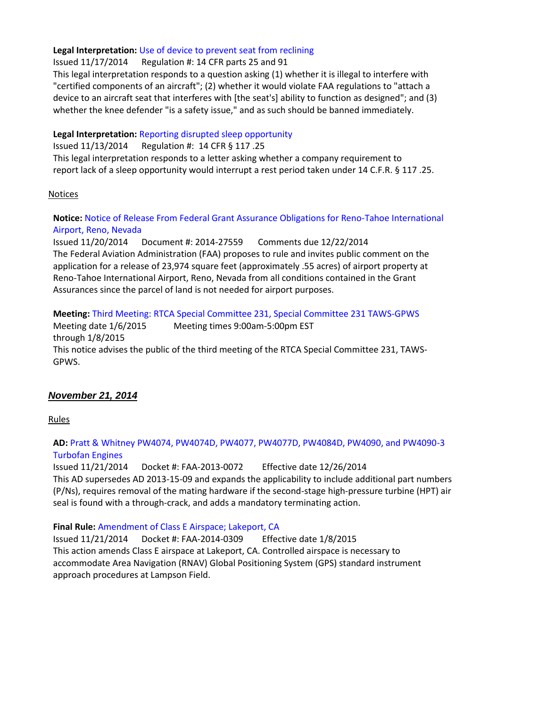### **Legal Interpretation:** [Use of device to prevent seat from reclining](http://www.faa.gov/about/office_org/headquarters_offices/agc/pol_adjudication/agc200/interpretations/data/interps/2014/Jimenez%20-%20(2014)%20Legal%20Interpretation.pdf)

Issued 11/17/2014 Regulation #: 14 CFR parts 25 and 91

This legal interpretation responds to a question asking (1) whether it is illegal to interfere with "certified components of an aircraft"; (2) whether it would violate FAA regulations to "attach a device to an aircraft seat that interferes with [the seat's] ability to function as designed"; and (3) whether the knee defender "is a safety issue," and as such should be banned immediately.

### **Legal Interpretation:** [Reporting disrupted sleep opportunity](http://www.faa.gov/about/office_org/headquarters_offices/agc/pol_adjudication/agc200/interpretations/data/interps/2014/McEldowney%20-%20(2014)%20Legal%20Interpretation.pdf)

Issued 11/13/2014 Regulation #: 14 CFR § 117 .25 This legal interpretation responds to a letter asking whether a company requirement to report lack of a sleep opportunity would interrupt a rest period taken under 14 C.F.R. § 117 .25.

### **Notices**

**Notice:** [Notice of Release From Federal Grant Assurance Obligations for Reno-Tahoe International](https://www.federalregister.gov/articles/2014/11/20/2014-27559/notice-of-release-from-federal-grant-assurance-obligations-for-reno-tahoe-international-airport-reno)  [Airport, Reno, Nevada](https://www.federalregister.gov/articles/2014/11/20/2014-27559/notice-of-release-from-federal-grant-assurance-obligations-for-reno-tahoe-international-airport-reno)

Issued 11/20/2014 Document #: 2014-27559 Comments due 12/22/2014 The Federal Aviation Administration (FAA) proposes to rule and invites public comment on the application for a release of 23,974 square feet (approximately .55 acres) of airport property at Reno-Tahoe International Airport, Reno, Nevada from all conditions contained in the Grant Assurances since the parcel of land is not needed for airport purposes.

# **Meeting:** [Third Meeting: RTCA Special Committee 231, Special Committee 231 TAWS-GPWS](https://www.federalregister.gov/articles/2014/11/20/2014-27555/third-meeting-rtca-special-committee-231-special-committee-231-taws-gpws)

Meeting date 1/6/2015 through 1/8/2015 Meeting times 9:00am-5:00pm EST This notice advises the public of the third meeting of the RTCA Special Committee 231, TAWS-GPWS.

# *November 21, 2014*

Rules

### **AD:** [Pratt & Whitney PW4074, PW4074D, PW4077, PW4077D, PW4084D, PW4090, and PW4090-3](https://www.federalregister.gov/articles/2014/11/21/2014-27354/airworthiness-directives-pratt-and-whitney-division-turbofan-engines)  [Turbofan Engines](https://www.federalregister.gov/articles/2014/11/21/2014-27354/airworthiness-directives-pratt-and-whitney-division-turbofan-engines)

Issued 11/21/2014 Docket #: FAA-2013-0072 Effective date 12/26/2014 This AD supersedes AD 2013-15-09 and expands the applicability to include additional part numbers (P/Ns), requires removal of the mating hardware if the second-stage high-pressure turbine (HPT) air seal is found with a through-crack, and adds a mandatory terminating action.

# **Final Rule:** [Amendment of Class E Airspace; Lakeport, CA](https://www.federalregister.gov/articles/2014/11/21/2014-26860/amendment-of-class-e-airspace-lakeport-ca)

Issued 11/21/2014 Docket #: FAA-2014-0309 Effective date 1/8/2015 This action amends Class E airspace at Lakeport, CA. Controlled airspace is necessary to accommodate Area Navigation (RNAV) Global Positioning System (GPS) standard instrument approach procedures at Lampson Field.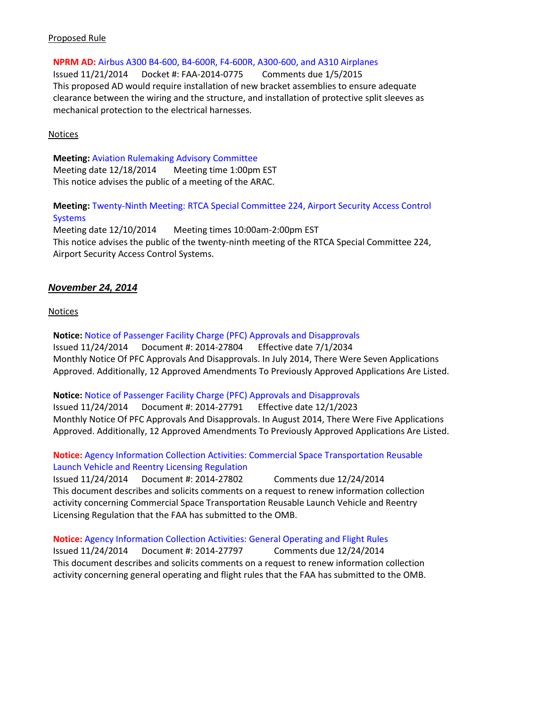### Proposed Rule

**NPRM AD:** [Airbus A300 B4-600, B4-600R, F4-600R, A300-600, and A310 Airplanes](https://www.federalregister.gov/articles/2014/11/21/2014-27631/airworthiness-directives-airbus-airplanes)

Issued 11/21/2014 Docket #: FAA-2014-0775 Comments due 1/5/2015 This proposed AD would require installation of new bracket assemblies to ensure adequate clearance between the wiring and the structure, and installation of protective split sleeves as mechanical protection to the electrical harnesses.

### **Notices**

**Meeting:** [Aviation Rulemaking Advisory Committee](https://www.federalregister.gov/articles/2014/11/21/2014-27602/aviation-rulemaking-advisory-committee-meeting) Meeting date 12/18/2014 Meeting time 1:00pm EST This notice advises the public of a meeting of the ARAC.

**Meeting:** [Twenty-Ninth Meeting: RTCA Special Committee 224, Airport Security Access Control](https://www.federalregister.gov/articles/2014/11/21/2014-27545/twenty-ninth-meeting-rtca-special-committee-224-airport-security-access-control-systems)  **[Systems](https://www.federalregister.gov/articles/2014/11/21/2014-27545/twenty-ninth-meeting-rtca-special-committee-224-airport-security-access-control-systems)** 

Meeting date 12/10/2014 Meeting times 10:00am-2:00pm EST This notice advises the public of the twenty-ninth meeting of the RTCA Special Committee 224, Airport Security Access Control Systems.

### *November 24, 2014*

Notices

**Notice:** [Notice of Passenger Facility Charge \(PFC\) Approvals and Disapprovals](https://www.federalregister.gov/articles/2014/11/24/2014-27804/notice-of-passenger-facility-charge-pfc-approvals-and-disapprovals) Issued 11/24/2014 Document #: 2014-27804 Effective date 7/1/2034 Monthly Notice Of PFC Approvals And Disapprovals. In July 2014, There Were Seven Applications Approved. Additionally, 12 Approved Amendments To Previously Approved Applications Are Listed.

**Notice:** [Notice of Passenger Facility Charge \(PFC\) Approvals and Disapprovals](https://www.federalregister.gov/articles/2014/11/24/2014-27791/notice-of-passenger-facility-charge-pfc-approvals-and-disapprovals) Issued 11/24/2014 Document #: 2014-27791 Effective date 12/1/2023 Monthly Notice Of PFC Approvals And Disapprovals. In August 2014, There Were Five Applications Approved. Additionally, 12 Approved Amendments To Previously Approved Applications Are Listed.

**Notice:** [Agency Information Collection Activities: Commercial Space Transportation Reusable](https://www.federalregister.gov/articles/2014/11/24/2014-27802/agency-information-collection-activities-requests-for-comments-clearance-of-renewed-approval-of)  [Launch Vehicle and Reentry Licensing Regulation](https://www.federalregister.gov/articles/2014/11/24/2014-27802/agency-information-collection-activities-requests-for-comments-clearance-of-renewed-approval-of) Issued 11/24/2014 Document #: 2014-27802 Comments due 12/24/2014 This document describes and solicits comments on a request to renew information collection activity concerning Commercial Space Transportation Reusable Launch Vehicle and Reentry Licensing Regulation that the FAA has submitted to the OMB.

**Notice:** [Agency Information Collection Activities: General Operating and Flight Rules](https://www.federalregister.gov/articles/2014/11/24/2014-27797/agency-information-collection-activities-requests-for-comments-clearance-of-renewed-approval-of) Issued 11/24/2014 Document #: 2014-27797 Comments due 12/24/2014 This document describes and solicits comments on a request to renew information collection activity concerning general operating and flight rules that the FAA has submitted to the OMB.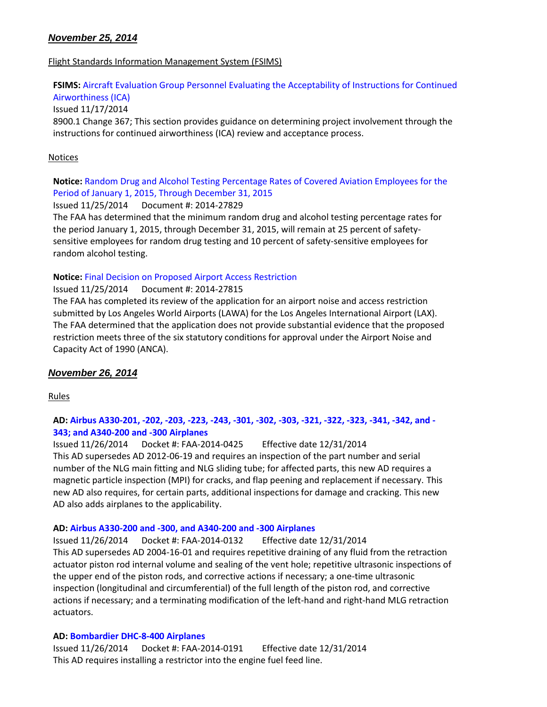# *November 25, 2014*

### Flight Standards Information Management System (FSIMS)

# **FSIMS:** [Aircraft Evaluation Group Personnel Evaluating the Acceptability of Instructions for Continued](http://fsims.faa.gov/PICDetail.aspx?docId=8900.1,Vol.8,Ch5,Sec14)

[Airworthiness \(ICA\)](http://fsims.faa.gov/PICDetail.aspx?docId=8900.1,Vol.8,Ch5,Sec14) Issued 11/17/2014 8900.1 Change 367; This section provides guidance on determining project involvement through the instructions for continued airworthiness (ICA) review and acceptance process.

### Notices

# **Notice:** [Random Drug and Alcohol Testing Percentage Rates of Covered Aviation Employees for the](https://www.federalregister.gov/articles/2014/11/25/2014-27829/random-drug-and-alcohol-testing-percentage-rates-of-covered-aviation-employees-for-the-period-of)  [Period of January 1, 2015, Through December 31, 2015](https://www.federalregister.gov/articles/2014/11/25/2014-27829/random-drug-and-alcohol-testing-percentage-rates-of-covered-aviation-employees-for-the-period-of)

Issued 11/25/2014 Document #: 2014-27829

The FAA has determined that the minimum random drug and alcohol testing percentage rates for the period January 1, 2015, through December 31, 2015, will remain at 25 percent of safetysensitive employees for random drug testing and 10 percent of safety-sensitive employees for random alcohol testing.

### **Notice:** [Final Decision on Proposed Airport Access Restriction](https://www.federalregister.gov/articles/2014/11/25/2014-27815/notice-of-final-decision-on-proposed-airport-access-restriction)

Issued 11/25/2014 Document #: 2014-27815

The FAA has completed its review of the application for an airport noise and access restriction submitted by Los Angeles World Airports (LAWA) for the Los Angeles International Airport (LAX). The FAA determined that the application does not provide substantial evidence that the proposed restriction meets three of the six statutory conditions for approval under the Airport Noise and Capacity Act of 1990 (ANCA).

# *November 26, 2014*

Rules

# **AD[: Airbus A330-201, -202, -203, -223, -243, -301, -302, -303, -321, -322, -323, -341, -342, and -](https://www.federalregister.gov/articles/2014/11/26/2014-27360/airworthiness-directives-airbus-airplanes) [343; and A340-200 and -300 Airplanes](https://www.federalregister.gov/articles/2014/11/26/2014-27360/airworthiness-directives-airbus-airplanes)**

Issued 11/26/2014 Docket #: FAA-2014-0425 Effective date 12/31/2014 This AD supersedes AD 2012-06-19 and requires an inspection of the part number and serial number of the NLG main fitting and NLG sliding tube; for affected parts, this new AD requires a magnetic particle inspection (MPI) for cracks, and flap peening and replacement if necessary. This new AD also requires, for certain parts, additional inspections for damage and cracking. This new AD also adds airplanes to the applicability.

### **AD[: Airbus A330-200 and -300, and A340-200 and -300 Airplanes](https://www.federalregister.gov/articles/2014/11/26/2014-26986/airworthiness-directives-airbus-airplanes)**

Issued 11/26/2014 Docket #: FAA-2014-0132 Effective date 12/31/2014 This AD supersedes AD 2004-16-01 and requires repetitive draining of any fluid from the retraction actuator piston rod internal volume and sealing of the vent hole; repetitive ultrasonic inspections of the upper end of the piston rods, and corrective actions if necessary; a one-time ultrasonic inspection (longitudinal and circumferential) of the full length of the piston rod, and corrective actions if necessary; and a terminating modification of the left-hand and right-hand MLG retraction actuators.

### **AD[: Bombardier DHC-8-400 Airplanes](https://www.federalregister.gov/articles/2014/11/26/2014-27357/airworthiness-directives-bombardier-inc-airplanes)**

Issued 11/26/2014 Docket #: FAA-2014-0191 Effective date 12/31/2014 This AD requires installing a restrictor into the engine fuel feed line.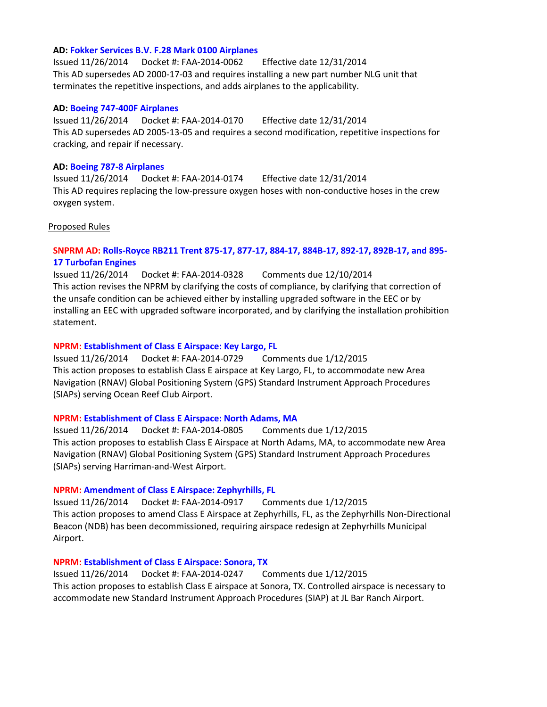### **AD[: Fokker Services B.V. F.28 Mark 0100 Airplanes](https://www.federalregister.gov/articles/2014/11/26/2014-27361/airworthiness-directives-fokker-services-bv-airplanes)**

Issued 11/26/2014 Docket #: FAA-2014-0062 Effective date 12/31/2014 This AD supersedes AD 2000-17-03 and requires installing a new part number NLG unit that terminates the repetitive inspections, and adds airplanes to the applicability.

#### **AD[: Boeing 747-400F Airplanes](https://www.federalregister.gov/articles/2014/11/26/2014-27358/airworthiness-directives-the-boeing-company-airplanes)**

Issued 11/26/2014 Docket #: FAA-2014-0170 Effective date 12/31/2014 This AD supersedes AD 2005-13-05 and requires a second modification, repetitive inspections for cracking, and repair if necessary.

### **AD[: Boeing 787-8 Airplanes](https://www.federalregister.gov/articles/2014/11/26/2014-27359/airworthiness-directives-the-boeing-company-airplanes)**

Issued 11/26/2014 Docket #: FAA-2014-0174 Effective date 12/31/2014 This AD requires replacing the low-pressure oxygen hoses with non-conductive hoses in the crew oxygen system.

#### Proposed Rules

### **SNPRM AD: [Rolls-Royce RB211 Trent 875-17, 877-17, 884-17, 884B-17, 892-17, 892B-17, and 895-](https://www.federalregister.gov/articles/2014/11/26/2014-27929/airworthiness-directives-rolls-royce-plc-turbofan-engines) [17 Turbofan Engines](https://www.federalregister.gov/articles/2014/11/26/2014-27929/airworthiness-directives-rolls-royce-plc-turbofan-engines)**

Issued 11/26/2014 Docket #: FAA-2014-0328 Comments due 12/10/2014 This action revises the NPRM by clarifying the costs of compliance, by clarifying that correction of the unsafe condition can be achieved either by installing upgraded software in the EEC or by installing an EEC with upgraded software incorporated, and by clarifying the installation prohibition statement.

#### **NPRM: [Establishment of Class E Airspace: Key Largo, FL](https://www.federalregister.gov/articles/2014/11/26/2014-27954/proposed-establishment-of-class-e-airspace-key-largo-fl)**

Issued 11/26/2014 Docket #: FAA-2014-0729 Comments due 1/12/2015 This action proposes to establish Class E airspace at Key Largo, FL, to accommodate new Area Navigation (RNAV) Global Positioning System (GPS) Standard Instrument Approach Procedures (SIAPs) serving Ocean Reef Club Airport.

### **NPRM: [Establishment of Class E Airspace: North Adams, MA](https://www.federalregister.gov/articles/2014/11/26/2014-27956/proposed-establishment-of-class-e-airspace-north-adams-ma)**

Issued 11/26/2014 Docket #: FAA-2014-0805 Comments due 1/12/2015 This action proposes to establish Class E Airspace at North Adams, MA, to accommodate new Area Navigation (RNAV) Global Positioning System (GPS) Standard Instrument Approach Procedures (SIAPs) serving Harriman-and-West Airport.

#### **NPRM: [Amendment of Class E Airspace: Zephyrhills, FL](https://www.federalregister.gov/articles/2014/11/26/2014-27958/proposed-amendment-of-class-e-airspace-zephyrhills-fl)**

Issued 11/26/2014 Docket #: FAA-2014-0917 Comments due 1/12/2015 This action proposes to amend Class E Airspace at Zephyrhills, FL, as the Zephyrhills Non-Directional Beacon (NDB) has been decommissioned, requiring airspace redesign at Zephyrhills Municipal Airport.

#### **NPRM: [Establishment of Class E Airspace: Sonora, TX](https://www.federalregister.gov/articles/2014/11/26/2014-27973/proposed-establishment-of-class-e-airspace-sonora-tx)**

Issued 11/26/2014 Docket #: FAA-2014-0247 Comments due 1/12/2015 This action proposes to establish Class E airspace at Sonora, TX. Controlled airspace is necessary to accommodate new Standard Instrument Approach Procedures (SIAP) at JL Bar Ranch Airport.